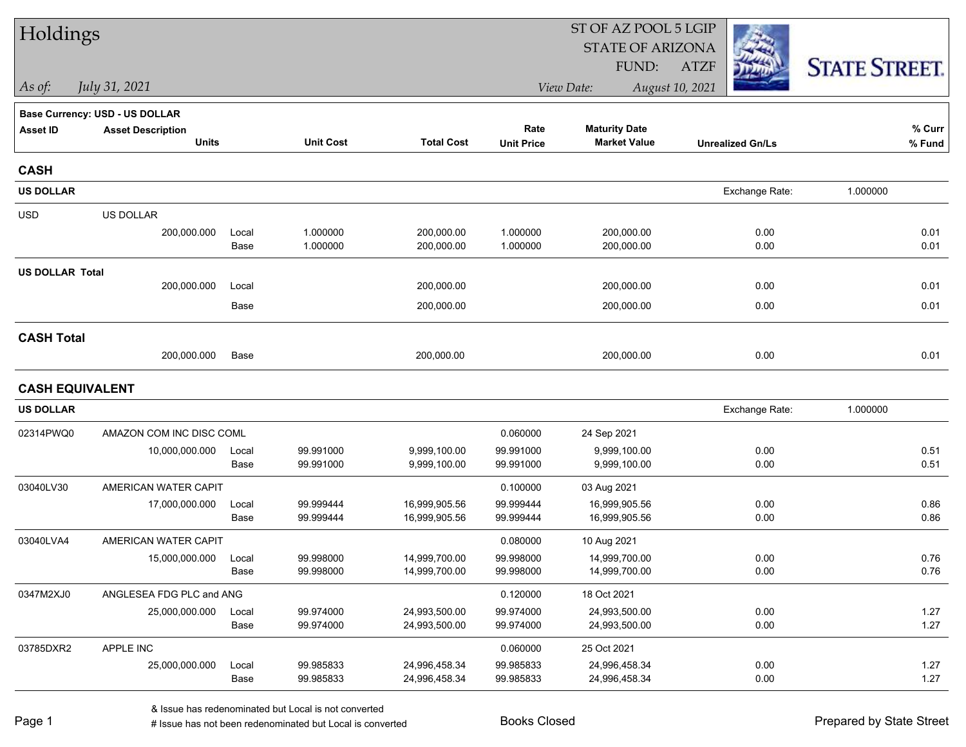| Holdings               |                                       |               |                        |                                |                        | ST OF AZ POOL 5 LGIP           |                         |                      |
|------------------------|---------------------------------------|---------------|------------------------|--------------------------------|------------------------|--------------------------------|-------------------------|----------------------|
|                        |                                       |               |                        |                                |                        | <b>STATE OF ARIZONA</b>        |                         |                      |
|                        |                                       |               |                        |                                |                        | FUND:                          | <b>ATZF</b>             | <b>STATE STREET.</b> |
| $\vert$ As of:         | July 31, 2021                         |               |                        |                                |                        | View Date:                     | August 10, 2021         |                      |
|                        | <b>Base Currency: USD - US DOLLAR</b> |               |                        |                                |                        |                                |                         |                      |
| Asset ID               | <b>Asset Description</b>              |               |                        |                                | Rate                   | <b>Maturity Date</b>           |                         | % Curr               |
|                        | <b>Units</b>                          |               | <b>Unit Cost</b>       | <b>Total Cost</b>              | <b>Unit Price</b>      | <b>Market Value</b>            | <b>Unrealized Gn/Ls</b> | % Fund               |
| <b>CASH</b>            |                                       |               |                        |                                |                        |                                |                         |                      |
| <b>US DOLLAR</b>       |                                       |               |                        |                                |                        |                                | Exchange Rate:          | 1.000000             |
| <b>USD</b>             | US DOLLAR                             |               |                        |                                |                        |                                |                         |                      |
|                        | 200,000.000                           | Local         | 1.000000               | 200,000.00                     | 1.000000               | 200,000.00                     | 0.00                    | 0.01                 |
|                        |                                       | Base          | 1.000000               | 200,000.00                     | 1.000000               | 200,000.00                     | 0.00                    | 0.01                 |
| <b>US DOLLAR Total</b> |                                       |               |                        |                                |                        |                                |                         |                      |
|                        | 200,000.000                           | Local         |                        | 200,000.00                     |                        | 200,000.00                     | 0.00                    | 0.01                 |
|                        |                                       | Base          |                        | 200,000.00                     |                        | 200,000.00                     | 0.00                    | 0.01                 |
| <b>CASH Total</b>      |                                       |               |                        |                                |                        |                                |                         |                      |
|                        | 200,000.000                           | Base          |                        | 200,000.00                     |                        | 200,000.00                     | 0.00                    | 0.01                 |
|                        | <b>CASH EQUIVALENT</b>                |               |                        |                                |                        |                                |                         |                      |
| <b>US DOLLAR</b>       |                                       |               |                        |                                |                        |                                | Exchange Rate:          | 1.000000             |
| 02314PWQ0              | AMAZON COM INC DISC COML              |               |                        |                                | 0.060000               | 24 Sep 2021                    |                         |                      |
|                        | 10,000,000.000                        | Local         | 99.991000              | 9,999,100.00                   | 99.991000              | 9,999,100.00                   | 0.00                    | 0.51                 |
|                        |                                       | Base          | 99.991000              | 9,999,100.00                   | 99.991000              | 9,999,100.00                   | 0.00                    | 0.51                 |
| 03040LV30              | AMERICAN WATER CAPIT                  |               |                        |                                | 0.100000               | 03 Aug 2021                    |                         |                      |
|                        | 17,000,000.000                        | Local<br>Base | 99.999444<br>99.999444 | 16,999,905.56<br>16,999,905.56 | 99.999444<br>99.999444 | 16,999,905.56<br>16,999,905.56 | 0.00<br>0.00            | 0.86<br>0.86         |
|                        |                                       |               |                        |                                |                        |                                |                         |                      |
| 03040LVA4              | AMERICAN WATER CAPIT                  |               | 99.998000              |                                | 0.080000               | 10 Aug 2021                    |                         |                      |
|                        | 15,000,000.000                        | Local<br>Base | 99.998000              | 14,999,700.00<br>14,999,700.00 | 99.998000<br>99.998000 | 14,999,700.00<br>14,999,700.00 | 0.00<br>0.00            | 0.76<br>0.76         |
| 0347M2XJ0              | ANGLESEA FDG PLC and ANG              |               |                        |                                | 0.120000               | 18 Oct 2021                    |                         |                      |
|                        | 25,000,000.000                        | Local         | 99.974000              | 24,993,500.00                  | 99.974000              | 24,993,500.00                  | 0.00                    | 1.27                 |
|                        |                                       | Base          | 99.974000              | 24,993,500.00                  | 99.974000              | 24,993,500.00                  | 0.00                    | 1.27                 |
| 03785DXR2              | APPLE INC                             |               |                        |                                | 0.060000               | 25 Oct 2021                    |                         |                      |
|                        | 25,000,000.000                        | Local         | 99.985833              | 24,996,458.34                  | 99.985833              | 24,996,458.34                  | 0.00                    | 1.27                 |
|                        |                                       | Base          | 99.985833              | 24,996,458.34                  | 99.985833              | 24,996,458.34                  | 0.00                    | 1.27                 |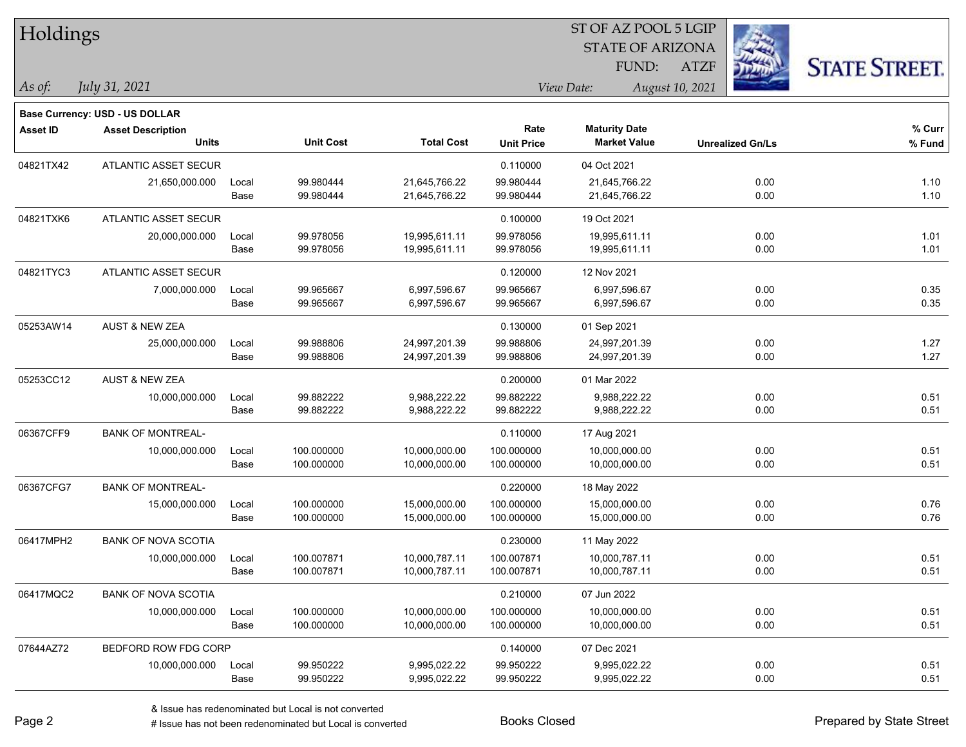| Holdings        |                                       |       |                  |                   |                   |                         |                 |                         |                      |
|-----------------|---------------------------------------|-------|------------------|-------------------|-------------------|-------------------------|-----------------|-------------------------|----------------------|
|                 |                                       |       |                  |                   |                   | <b>STATE OF ARIZONA</b> |                 |                         |                      |
|                 |                                       |       |                  |                   |                   | FUND:                   | <b>ATZF</b>     |                         | <b>STATE STREET.</b> |
| As of:          | July 31, 2021                         |       |                  |                   |                   | View Date:              | August 10, 2021 |                         |                      |
|                 | <b>Base Currency: USD - US DOLLAR</b> |       |                  |                   |                   |                         |                 |                         |                      |
| <b>Asset ID</b> | <b>Asset Description</b>              |       |                  |                   | Rate              | <b>Maturity Date</b>    |                 |                         | % Curr               |
|                 | <b>Units</b>                          |       | <b>Unit Cost</b> | <b>Total Cost</b> | <b>Unit Price</b> | <b>Market Value</b>     |                 | <b>Unrealized Gn/Ls</b> | % Fund               |
| 04821TX42       | ATLANTIC ASSET SECUR                  |       |                  |                   | 0.110000          | 04 Oct 2021             |                 |                         |                      |
|                 | 21,650,000.000                        | Local | 99.980444        | 21,645,766.22     | 99.980444         | 21,645,766.22           |                 | 0.00                    | 1.10                 |
|                 |                                       | Base  | 99.980444        | 21,645,766.22     | 99.980444         | 21,645,766.22           |                 | 0.00                    | 1.10                 |
| 04821TXK6       | <b>ATLANTIC ASSET SECUR</b>           |       |                  |                   | 0.100000          | 19 Oct 2021             |                 |                         |                      |
|                 | 20,000,000.000                        | Local | 99.978056        | 19,995,611.11     | 99.978056         | 19,995,611.11           |                 | 0.00                    | 1.01                 |
|                 |                                       | Base  | 99.978056        | 19,995,611.11     | 99.978056         | 19,995,611.11           |                 | 0.00                    | 1.01                 |
| 04821TYC3       | ATLANTIC ASSET SECUR                  |       |                  |                   | 0.120000          | 12 Nov 2021             |                 |                         |                      |
|                 | 7,000,000.000                         | Local | 99.965667        | 6,997,596.67      | 99.965667         | 6,997,596.67            |                 | 0.00                    | 0.35                 |
|                 |                                       | Base  | 99.965667        | 6,997,596.67      | 99.965667         | 6,997,596.67            |                 | 0.00                    | 0.35                 |
| 05253AW14       | AUST & NEW ZEA                        |       |                  |                   | 0.130000          | 01 Sep 2021             |                 |                         |                      |
|                 | 25,000,000.000                        | Local | 99.988806        | 24,997,201.39     | 99.988806         | 24,997,201.39           |                 | 0.00                    | 1.27                 |
|                 |                                       | Base  | 99.988806        | 24,997,201.39     | 99.988806         | 24,997,201.39           |                 | 0.00                    | 1.27                 |
| 05253CC12       | AUST & NEW ZEA                        |       |                  |                   | 0.200000          | 01 Mar 2022             |                 |                         |                      |
|                 | 10,000,000.000                        | Local | 99.882222        | 9,988,222.22      | 99.882222         | 9,988,222.22            |                 | 0.00                    | 0.51                 |
|                 |                                       | Base  | 99.882222        | 9,988,222.22      | 99.882222         | 9,988,222.22            |                 | 0.00                    | 0.51                 |
| 06367CFF9       | <b>BANK OF MONTREAL-</b>              |       |                  |                   | 0.110000          | 17 Aug 2021             |                 |                         |                      |
|                 | 10,000,000.000                        | Local | 100.000000       | 10,000,000.00     | 100.000000        | 10,000,000.00           |                 | 0.00                    | 0.51                 |
|                 |                                       | Base  | 100.000000       | 10,000,000.00     | 100.000000        | 10,000,000.00           |                 | 0.00                    | 0.51                 |
| 06367CFG7       | <b>BANK OF MONTREAL-</b>              |       |                  |                   | 0.220000          | 18 May 2022             |                 |                         |                      |
|                 | 15,000,000.000                        | Local | 100.000000       | 15,000,000.00     | 100.000000        | 15,000,000.00           |                 | 0.00                    | 0.76                 |
|                 |                                       | Base  | 100.000000       | 15,000,000.00     | 100.000000        | 15,000,000.00           |                 | 0.00                    | 0.76                 |
| 06417MPH2       | <b>BANK OF NOVA SCOTIA</b>            |       |                  |                   | 0.230000          | 11 May 2022             |                 |                         |                      |
|                 | 10,000,000.000                        | Local | 100.007871       | 10,000,787.11     | 100.007871        | 10,000,787.11           |                 | 0.00                    | 0.51                 |
|                 |                                       | Base  | 100.007871       | 10,000,787.11     | 100.007871        | 10,000,787.11           |                 | 0.00                    | 0.51                 |
| 06417MQC2       | <b>BANK OF NOVA SCOTIA</b>            |       |                  |                   | 0.210000          | 07 Jun 2022             |                 |                         |                      |
|                 | 10,000,000.000                        | Local | 100.000000       | 10,000,000.00     | 100.000000        | 10,000,000.00           |                 | 0.00                    | 0.51                 |
|                 |                                       | Base  | 100.000000       | 10,000,000.00     | 100.000000        | 10,000,000.00           |                 | 0.00                    | 0.51                 |
| 07644AZ72       | BEDFORD ROW FDG CORP                  |       |                  |                   | 0.140000          | 07 Dec 2021             |                 |                         |                      |
|                 | 10,000,000.000                        | Local | 99.950222        | 9,995,022.22      | 99.950222         | 9,995,022.22            |                 | 0.00                    | 0.51                 |
|                 |                                       | Base  | 99.950222        | 9,995,022.22      | 99.950222         | 9,995,022.22            |                 | 0.00                    | 0.51                 |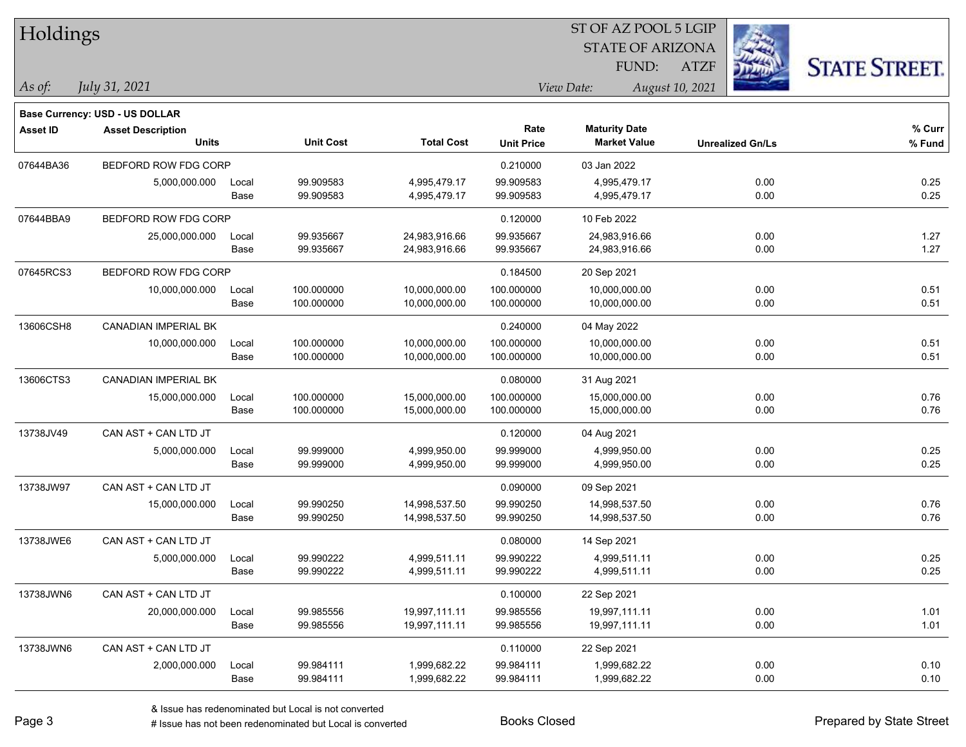| Holdings        |                                       |       |                  |                   |                   | ST OF AZ POOL 5 LGIP    |                         |                      |
|-----------------|---------------------------------------|-------|------------------|-------------------|-------------------|-------------------------|-------------------------|----------------------|
|                 |                                       |       |                  |                   |                   | <b>STATE OF ARIZONA</b> |                         |                      |
|                 |                                       |       |                  |                   |                   | FUND:                   | <b>ATZF</b>             | <b>STATE STREET.</b> |
| As of:          | July 31, 2021                         |       |                  |                   |                   | View Date:              | August 10, 2021         |                      |
|                 | <b>Base Currency: USD - US DOLLAR</b> |       |                  |                   |                   |                         |                         |                      |
| <b>Asset ID</b> | <b>Asset Description</b>              |       |                  |                   | Rate              | <b>Maturity Date</b>    |                         | % Curr               |
|                 | <b>Units</b>                          |       | <b>Unit Cost</b> | <b>Total Cost</b> | <b>Unit Price</b> | <b>Market Value</b>     | <b>Unrealized Gn/Ls</b> | % Fund               |
| 07644BA36       | BEDFORD ROW FDG CORP                  |       |                  |                   | 0.210000          | 03 Jan 2022             |                         |                      |
|                 | 5,000,000.000                         | Local | 99.909583        | 4,995,479.17      | 99.909583         | 4,995,479.17            | 0.00                    | 0.25                 |
|                 |                                       | Base  | 99.909583        | 4,995,479.17      | 99.909583         | 4,995,479.17            | 0.00                    | 0.25                 |
| 07644BBA9       | BEDFORD ROW FDG CORP                  |       |                  |                   | 0.120000          | 10 Feb 2022             |                         |                      |
|                 | 25,000,000.000                        | Local | 99.935667        | 24,983,916.66     | 99.935667         | 24,983,916.66           | 0.00                    | 1.27                 |
|                 |                                       | Base  | 99.935667        | 24,983,916.66     | 99.935667         | 24,983,916.66           | 0.00                    | 1.27                 |
| 07645RCS3       | BEDFORD ROW FDG CORP                  |       |                  |                   | 0.184500          | 20 Sep 2021             |                         |                      |
|                 | 10,000,000.000                        | Local | 100.000000       | 10,000,000.00     | 100.000000        | 10,000,000.00           | 0.00                    | 0.51                 |
|                 |                                       | Base  | 100.000000       | 10,000,000.00     | 100.000000        | 10,000,000.00           | 0.00                    | 0.51                 |
| 13606CSH8       | CANADIAN IMPERIAL BK                  |       |                  |                   | 0.240000          | 04 May 2022             |                         |                      |
|                 | 10,000,000.000                        | Local | 100.000000       | 10,000,000.00     | 100.000000        | 10,000,000.00           | 0.00                    | 0.51                 |
|                 |                                       | Base  | 100.000000       | 10,000,000.00     | 100.000000        | 10,000,000.00           | 0.00                    | 0.51                 |
| 13606CTS3       | <b>CANADIAN IMPERIAL BK</b>           |       |                  |                   | 0.080000          | 31 Aug 2021             |                         |                      |
|                 | 15,000,000.000                        | Local | 100.000000       | 15,000,000.00     | 100.000000        | 15,000,000.00           | 0.00                    | 0.76                 |
|                 |                                       | Base  | 100.000000       | 15,000,000.00     | 100.000000        | 15,000,000.00           | 0.00                    | 0.76                 |
| 13738JV49       | CAN AST + CAN LTD JT                  |       |                  |                   | 0.120000          | 04 Aug 2021             |                         |                      |
|                 | 5,000,000.000                         | Local | 99.999000        | 4,999,950.00      | 99.999000         | 4,999,950.00            | 0.00                    | 0.25                 |
|                 |                                       | Base  | 99.999000        | 4,999,950.00      | 99.999000         | 4,999,950.00            | 0.00                    | 0.25                 |
| 13738JW97       | CAN AST + CAN LTD JT                  |       |                  |                   | 0.090000          | 09 Sep 2021             |                         |                      |
|                 | 15,000,000.000                        | Local | 99.990250        | 14,998,537.50     | 99.990250         | 14,998,537.50           | 0.00                    | 0.76                 |
|                 |                                       | Base  | 99.990250        | 14,998,537.50     | 99.990250         | 14,998,537.50           | 0.00                    | 0.76                 |
| 13738JWE6       | CAN AST + CAN LTD JT                  |       |                  |                   | 0.080000          | 14 Sep 2021             |                         |                      |
|                 | 5,000,000.000                         | Local | 99.990222        | 4,999,511.11      | 99.990222         | 4,999,511.11            | 0.00                    | 0.25                 |
|                 |                                       | Base  | 99.990222        | 4,999,511.11      | 99.990222         | 4,999,511.11            | 0.00                    | 0.25                 |
| 13738JWN6       | CAN AST + CAN LTD JT                  |       |                  |                   | 0.100000          | 22 Sep 2021             |                         |                      |
|                 | 20,000,000.000                        | Local | 99.985556        | 19,997,111.11     | 99.985556         | 19,997,111.11           | 0.00                    | 1.01                 |
|                 |                                       | Base  | 99.985556        | 19,997,111.11     | 99.985556         | 19,997,111.11           | 0.00                    | 1.01                 |
| 13738JWN6       | CAN AST + CAN LTD JT                  |       |                  |                   | 0.110000          | 22 Sep 2021             |                         |                      |
|                 | 2,000,000.000                         | Local | 99.984111        | 1,999,682.22      | 99.984111         | 1,999,682.22            | 0.00                    | 0.10                 |
|                 |                                       | Base  | 99.984111        | 1,999,682.22      | 99.984111         | 1,999,682.22            | 0.00                    | 0.10                 |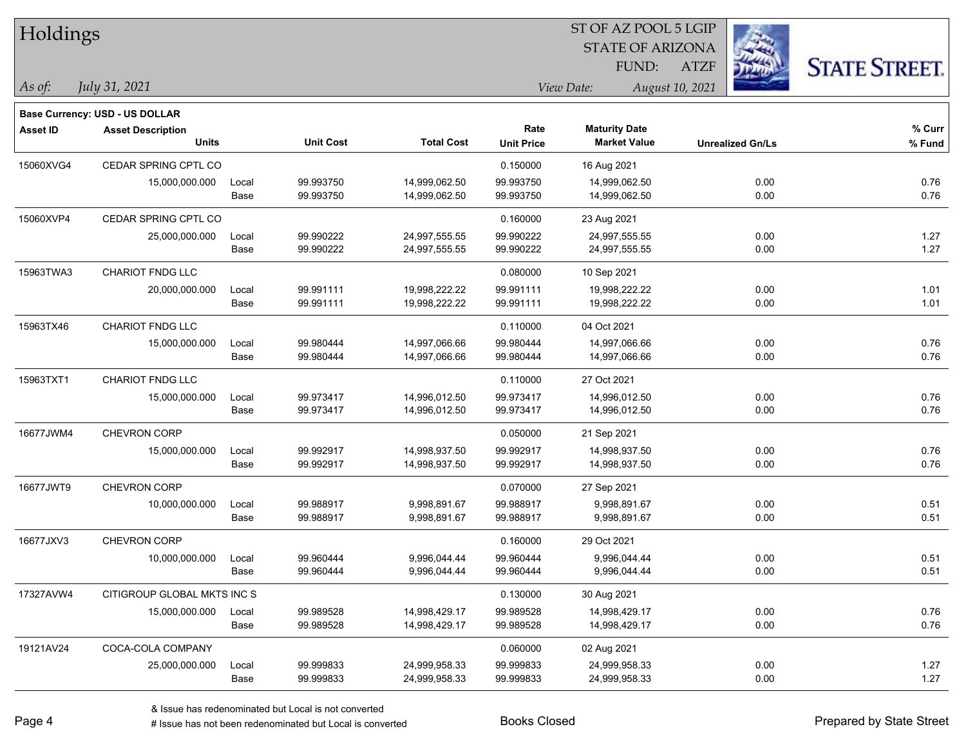| Holdings        |                                       |       |                  |                   | 51 OF AZ POOL 5 LGIP |                         |                         |                     |  |  |
|-----------------|---------------------------------------|-------|------------------|-------------------|----------------------|-------------------------|-------------------------|---------------------|--|--|
|                 |                                       |       |                  |                   |                      | <b>STATE OF ARIZONA</b> |                         |                     |  |  |
|                 |                                       |       |                  |                   |                      | FUND:                   | <b>ATZF</b>             | <b>STATE STREET</b> |  |  |
| As of:          | July 31, 2021                         |       |                  |                   |                      | View Date:              | August 10, 2021         |                     |  |  |
|                 | <b>Base Currency: USD - US DOLLAR</b> |       |                  |                   |                      |                         |                         |                     |  |  |
| <b>Asset ID</b> | <b>Asset Description</b>              |       |                  |                   | Rate                 | <b>Maturity Date</b>    |                         | % Curr              |  |  |
|                 | <b>Units</b>                          |       | <b>Unit Cost</b> | <b>Total Cost</b> | <b>Unit Price</b>    | <b>Market Value</b>     | <b>Unrealized Gn/Ls</b> | % Fund              |  |  |
| 15060XVG4       | <b>CEDAR SPRING CPTL CO</b>           |       |                  |                   | 0.150000             | 16 Aug 2021             |                         |                     |  |  |
|                 | 15,000,000.000                        | Local | 99.993750        | 14,999,062.50     | 99.993750            | 14,999,062.50           | 0.00                    | 0.76                |  |  |
|                 |                                       | Base  | 99.993750        | 14,999,062.50     | 99.993750            | 14,999,062.50           | 0.00                    | 0.76                |  |  |
| 15060XVP4       | CEDAR SPRING CPTL CO                  |       |                  |                   | 0.160000             | 23 Aug 2021             |                         |                     |  |  |
|                 | 25,000,000.000                        | Local | 99.990222        | 24,997,555.55     | 99.990222            | 24,997,555.55           | 0.00                    | 1.27                |  |  |
|                 |                                       | Base  | 99.990222        | 24,997,555.55     | 99.990222            | 24,997,555.55           | 0.00                    | 1.27                |  |  |
| 15963TWA3       | CHARIOT FNDG LLC                      |       |                  |                   | 0.080000             | 10 Sep 2021             |                         |                     |  |  |
|                 | 20,000,000.000                        | Local | 99.991111        | 19,998,222.22     | 99.991111            | 19,998,222.22           | 0.00                    | 1.01                |  |  |
|                 |                                       | Base  | 99.991111        | 19,998,222.22     | 99.991111            | 19,998,222.22           | 0.00                    | 1.01                |  |  |
| 15963TX46       | <b>CHARIOT FNDG LLC</b>               |       |                  |                   | 0.110000             | 04 Oct 2021             |                         |                     |  |  |
|                 | 15,000,000.000                        | Local | 99.980444        | 14,997,066.66     | 99.980444            | 14,997,066.66           | 0.00                    | 0.76                |  |  |
|                 |                                       | Base  | 99.980444        | 14,997,066.66     | 99.980444            | 14,997,066.66           | 0.00                    | 0.76                |  |  |
| 15963TXT1       | <b>CHARIOT FNDG LLC</b>               |       |                  |                   | 0.110000             | 27 Oct 2021             |                         |                     |  |  |
|                 | 15,000,000.000                        | Local | 99.973417        | 14,996,012.50     | 99.973417            | 14,996,012.50           | 0.00                    | 0.76                |  |  |
|                 |                                       | Base  | 99.973417        | 14,996,012.50     | 99.973417            | 14,996,012.50           | 0.00                    | 0.76                |  |  |
| 16677JWM4       | CHEVRON CORP                          |       |                  |                   | 0.050000             | 21 Sep 2021             |                         |                     |  |  |
|                 | 15,000,000.000                        | Local | 99.992917        | 14,998,937.50     | 99.992917            | 14,998,937.50           | 0.00                    | 0.76                |  |  |
|                 |                                       | Base  | 99.992917        | 14,998,937.50     | 99.992917            | 14,998,937.50           | 0.00                    | 0.76                |  |  |
| 16677JWT9       | CHEVRON CORP                          |       |                  |                   | 0.070000             | 27 Sep 2021             |                         |                     |  |  |
|                 | 10,000,000.000                        | Local | 99.988917        | 9,998,891.67      | 99.988917            | 9,998,891.67            | 0.00                    | 0.51                |  |  |
|                 |                                       | Base  | 99.988917        | 9,998,891.67      | 99.988917            | 9,998,891.67            | 0.00                    | 0.51                |  |  |
| 16677JXV3       | <b>CHEVRON CORP</b>                   |       |                  |                   | 0.160000             | 29 Oct 2021             |                         |                     |  |  |
|                 | 10,000,000.000                        | Local | 99.960444        | 9,996,044.44      | 99.960444            | 9,996,044.44            | 0.00                    | 0.51                |  |  |
|                 |                                       | Base  | 99.960444        | 9,996,044.44      | 99.960444            | 9,996,044.44            | 0.00                    | 0.51                |  |  |
| 17327AVW4       | CITIGROUP GLOBAL MKTS INC S           |       |                  |                   | 0.130000             | 30 Aug 2021             |                         |                     |  |  |
|                 | 15,000,000.000                        | Local | 99.989528        | 14,998,429.17     | 99.989528            | 14,998,429.17           | 0.00                    | 0.76                |  |  |
|                 |                                       | Base  | 99.989528        | 14,998,429.17     | 99.989528            | 14,998,429.17           | 0.00                    | 0.76                |  |  |
| 19121AV24       | COCA-COLA COMPANY                     |       |                  |                   | 0.060000             | 02 Aug 2021             |                         |                     |  |  |
|                 | 25,000,000.000                        | Local | 99.999833        | 24,999,958.33     | 99.999833            | 24,999,958.33           | 0.00                    | 1.27                |  |  |
|                 |                                       | Base  | 99.999833        | 24,999,958.33     | 99.999833            | 24,999,958.33           | 0.00                    | 1.27                |  |  |

 $ST$  OF AZ POOL 5 LGIP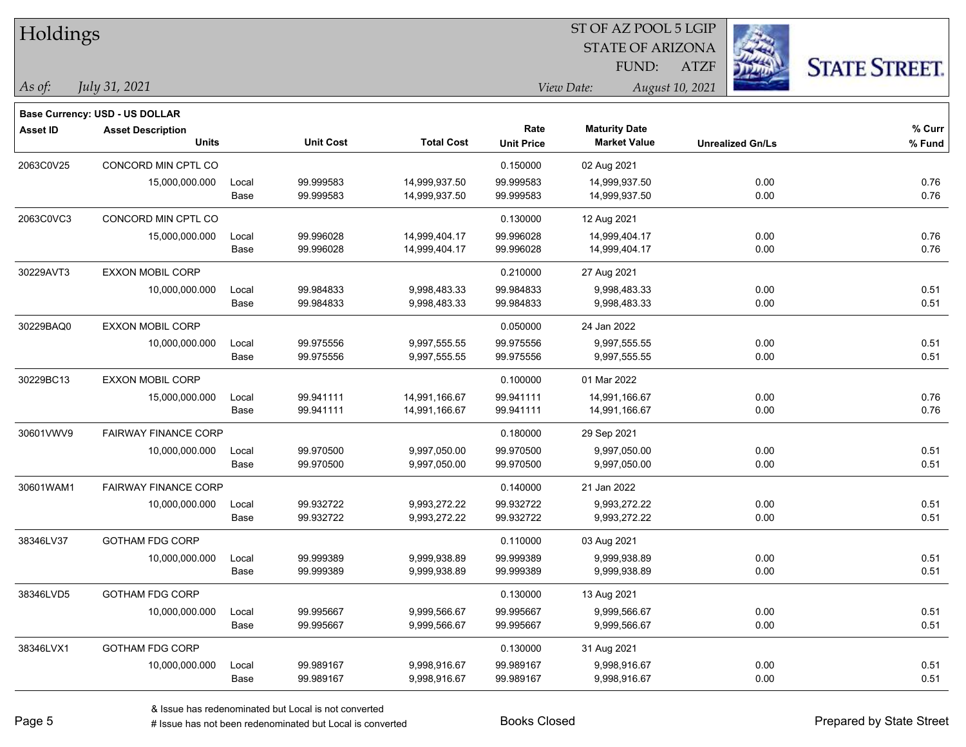| Holdings        |                                                            |       |                  |                   | ST OF AZ POOL 5 LGIP |                         |                 |                         |                      |  |
|-----------------|------------------------------------------------------------|-------|------------------|-------------------|----------------------|-------------------------|-----------------|-------------------------|----------------------|--|
|                 |                                                            |       |                  |                   |                      | <b>STATE OF ARIZONA</b> |                 |                         |                      |  |
|                 |                                                            |       |                  |                   |                      | FUND:                   | <b>ATZF</b>     |                         | <b>STATE STREET.</b> |  |
| As of:          | July 31, 2021                                              |       |                  |                   |                      | View Date:              | August 10, 2021 |                         |                      |  |
|                 |                                                            |       |                  |                   |                      |                         |                 |                         |                      |  |
| <b>Asset ID</b> | Base Currency: USD - US DOLLAR<br><b>Asset Description</b> |       |                  |                   | Rate                 | <b>Maturity Date</b>    |                 |                         | % Curr               |  |
|                 | <b>Units</b>                                               |       | <b>Unit Cost</b> | <b>Total Cost</b> | <b>Unit Price</b>    | <b>Market Value</b>     |                 | <b>Unrealized Gn/Ls</b> | $%$ Fund             |  |
| 2063C0V25       | CONCORD MIN CPTL CO                                        |       |                  |                   | 0.150000             | 02 Aug 2021             |                 |                         |                      |  |
|                 | 15,000,000.000                                             | Local | 99.999583        | 14,999,937.50     | 99.999583            | 14,999,937.50           |                 | 0.00                    | 0.76                 |  |
|                 |                                                            | Base  | 99.999583        | 14,999,937.50     | 99.999583            | 14,999,937.50           |                 | 0.00                    | 0.76                 |  |
| 2063C0VC3       | CONCORD MIN CPTL CO                                        |       |                  |                   | 0.130000             | 12 Aug 2021             |                 |                         |                      |  |
|                 | 15,000,000.000                                             | Local | 99.996028        | 14,999,404.17     | 99.996028            | 14,999,404.17           |                 | 0.00                    | 0.76                 |  |
|                 |                                                            | Base  | 99.996028        | 14,999,404.17     | 99.996028            | 14,999,404.17           |                 | 0.00                    | 0.76                 |  |
| 30229AVT3       | <b>EXXON MOBIL CORP</b>                                    |       |                  |                   | 0.210000             | 27 Aug 2021             |                 |                         |                      |  |
|                 | 10,000,000.000                                             | Local | 99.984833        | 9,998,483.33      | 99.984833            | 9,998,483.33            |                 | 0.00                    | 0.51                 |  |
|                 |                                                            | Base  | 99.984833        | 9,998,483.33      | 99.984833            | 9,998,483.33            |                 | 0.00                    | 0.51                 |  |
| 30229BAQ0       | <b>EXXON MOBIL CORP</b>                                    |       |                  |                   | 0.050000             | 24 Jan 2022             |                 |                         |                      |  |
|                 | 10,000,000.000                                             | Local | 99.975556        | 9,997,555.55      | 99.975556            | 9,997,555.55            |                 | 0.00                    | 0.51                 |  |
|                 |                                                            | Base  | 99.975556        | 9,997,555.55      | 99.975556            | 9,997,555.55            |                 | 0.00                    | 0.51                 |  |
| 30229BC13       | EXXON MOBIL CORP                                           |       |                  |                   | 0.100000             | 01 Mar 2022             |                 |                         |                      |  |
|                 | 15,000,000.000                                             | Local | 99.941111        | 14,991,166.67     | 99.941111            | 14,991,166.67           |                 | 0.00                    | 0.76                 |  |
|                 |                                                            | Base  | 99.941111        | 14,991,166.67     | 99.941111            | 14,991,166.67           |                 | 0.00                    | 0.76                 |  |
| 30601VWV9       | <b>FAIRWAY FINANCE CORP</b>                                |       |                  |                   | 0.180000             | 29 Sep 2021             |                 |                         |                      |  |
|                 | 10,000,000.000                                             | Local | 99.970500        | 9,997,050.00      | 99.970500            | 9,997,050.00            |                 | 0.00                    | 0.51                 |  |
|                 |                                                            | Base  | 99.970500        | 9,997,050.00      | 99.970500            | 9,997,050.00            |                 | 0.00                    | 0.51                 |  |
| 30601WAM1       | <b>FAIRWAY FINANCE CORP</b>                                |       |                  |                   | 0.140000             | 21 Jan 2022             |                 |                         |                      |  |
|                 | 10,000,000.000                                             | Local | 99.932722        | 9,993,272.22      | 99.932722            | 9,993,272.22            |                 | 0.00                    | 0.51                 |  |
|                 |                                                            | Base  | 99.932722        | 9,993,272.22      | 99.932722            | 9,993,272.22            |                 | 0.00                    | 0.51                 |  |
| 38346LV37       | <b>GOTHAM FDG CORP</b>                                     |       |                  |                   | 0.110000             | 03 Aug 2021             |                 |                         |                      |  |
|                 | 10,000,000.000                                             | Local | 99.999389        | 9,999,938.89      | 99.999389            | 9,999,938.89            |                 | 0.00                    | 0.51                 |  |
|                 |                                                            | Base  | 99.999389        | 9,999,938.89      | 99.999389            | 9,999,938.89            |                 | 0.00                    | 0.51                 |  |
| 38346LVD5       | <b>GOTHAM FDG CORP</b>                                     |       |                  |                   | 0.130000             | 13 Aug 2021             |                 |                         |                      |  |
|                 | 10,000,000.000                                             | Local | 99.995667        | 9,999,566.67      | 99.995667            | 9,999,566.67            |                 | 0.00                    | 0.51                 |  |
|                 |                                                            | Base  | 99.995667        | 9,999,566.67      | 99.995667            | 9,999,566.67            |                 | 0.00                    | 0.51                 |  |
| 38346LVX1       | <b>GOTHAM FDG CORP</b>                                     |       |                  |                   | 0.130000             | 31 Aug 2021             |                 |                         |                      |  |
|                 | 10,000,000.000                                             | Local | 99.989167        | 9,998,916.67      | 99.989167            | 9,998,916.67            |                 | 0.00                    | 0.51                 |  |
|                 |                                                            | Base  | 99.989167        | 9,998,916.67      | 99.989167            | 9,998,916.67            |                 | 0.00                    | 0.51                 |  |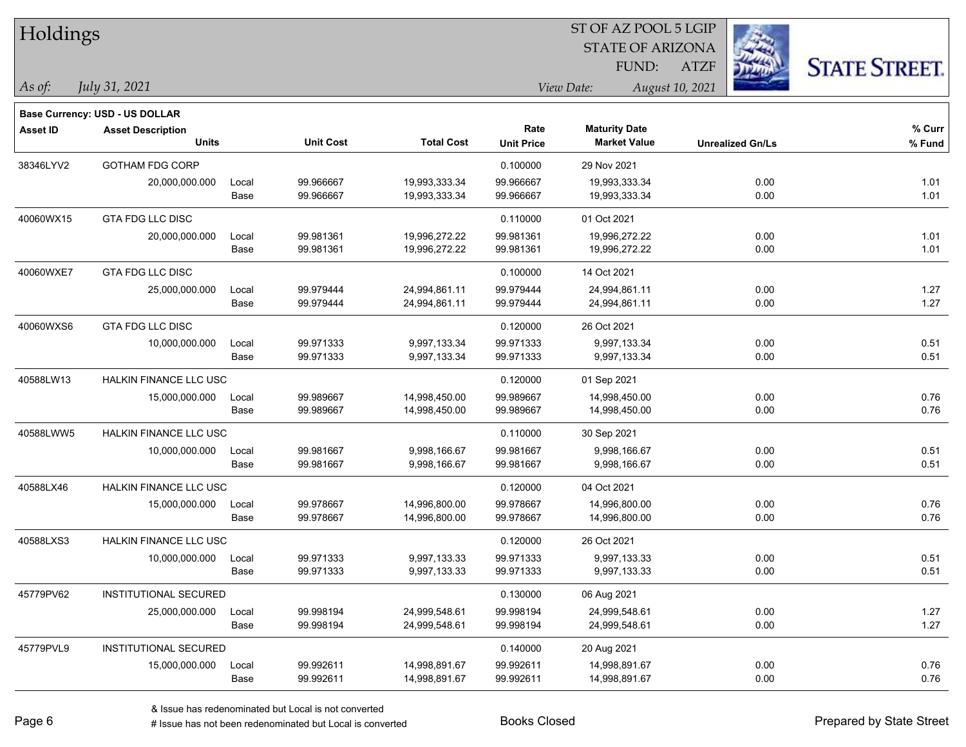| Holdings        |                                       |       |                  |                   | 51 OF AZ POOL 5 LGIP |                         |                         |              |                      |  |  |
|-----------------|---------------------------------------|-------|------------------|-------------------|----------------------|-------------------------|-------------------------|--------------|----------------------|--|--|
|                 |                                       |       |                  |                   |                      | <b>STATE OF ARIZONA</b> |                         | $\mathbb{Z}$ |                      |  |  |
|                 |                                       |       |                  |                   |                      | FUND:                   | <b>ATZF</b>             |              | <b>STATE STREET.</b> |  |  |
| As of:          | July 31, 2021                         |       |                  |                   |                      | View Date:              | August 10, 2021         |              |                      |  |  |
|                 | <b>Base Currency: USD - US DOLLAR</b> |       |                  |                   |                      |                         |                         |              |                      |  |  |
| <b>Asset ID</b> | <b>Asset Description</b>              |       |                  |                   | Rate                 | <b>Maturity Date</b>    |                         |              | % Curr               |  |  |
|                 | <b>Units</b>                          |       | <b>Unit Cost</b> | <b>Total Cost</b> | <b>Unit Price</b>    | <b>Market Value</b>     | <b>Unrealized Gn/Ls</b> |              | % Fund               |  |  |
| 38346LYV2       | <b>GOTHAM FDG CORP</b>                |       |                  |                   | 0.100000             | 29 Nov 2021             |                         |              |                      |  |  |
|                 | 20,000,000.000                        | Local | 99.966667        | 19,993,333.34     | 99.966667            | 19,993,333.34           |                         | 0.00         | 1.01                 |  |  |
|                 |                                       | Base  | 99.966667        | 19,993,333.34     | 99.966667            | 19,993,333.34           |                         | 0.00         | 1.01                 |  |  |
| 40060WX15       | <b>GTA FDG LLC DISC</b>               |       |                  |                   | 0.110000             | 01 Oct 2021             |                         |              |                      |  |  |
|                 | 20,000,000.000                        | Local | 99.981361        | 19,996,272.22     | 99.981361            | 19,996,272.22           |                         | 0.00         | 1.01                 |  |  |
|                 |                                       | Base  | 99.981361        | 19,996,272.22     | 99.981361            | 19,996,272.22           |                         | 0.00         | 1.01                 |  |  |
| 40060WXE7       | GTA FDG LLC DISC                      |       |                  |                   | 0.100000             | 14 Oct 2021             |                         |              |                      |  |  |
|                 | 25,000,000.000                        | Local | 99.979444        | 24,994,861.11     | 99.979444            | 24,994,861.11           |                         | 0.00         | 1.27                 |  |  |
|                 |                                       | Base  | 99.979444        | 24,994,861.11     | 99.979444            | 24,994,861.11           |                         | 0.00         | 1.27                 |  |  |
| 40060WXS6       | <b>GTA FDG LLC DISC</b>               |       |                  |                   | 0.120000             | 26 Oct 2021             |                         |              |                      |  |  |
|                 | 10,000,000.000                        | Local | 99.971333        | 9,997,133.34      | 99.971333            | 9,997,133.34            |                         | 0.00         | 0.51                 |  |  |
|                 |                                       | Base  | 99.971333        | 9,997,133.34      | 99.971333            | 9,997,133.34            |                         | 0.00         | 0.51                 |  |  |
| 40588LW13       | <b>HALKIN FINANCE LLC USC</b>         |       |                  |                   | 0.120000             | 01 Sep 2021             |                         |              |                      |  |  |
|                 | 15,000,000.000                        | Local | 99.989667        | 14,998,450.00     | 99.989667            | 14,998,450.00           |                         | 0.00         | 0.76                 |  |  |
|                 |                                       | Base  | 99.989667        | 14,998,450.00     | 99.989667            | 14,998,450.00           |                         | 0.00         | 0.76                 |  |  |
| 40588LWW5       | HALKIN FINANCE LLC USC                |       |                  |                   | 0.110000             | 30 Sep 2021             |                         |              |                      |  |  |
|                 | 10,000,000.000                        | Local | 99.981667        | 9,998,166.67      | 99.981667            | 9,998,166.67            |                         | 0.00         | 0.51                 |  |  |
|                 |                                       | Base  | 99.981667        | 9,998,166.67      | 99.981667            | 9,998,166.67            |                         | 0.00         | 0.51                 |  |  |
| 40588LX46       | HALKIN FINANCE LLC USC                |       |                  |                   | 0.120000             | 04 Oct 2021             |                         |              |                      |  |  |
|                 | 15,000,000.000                        | Local | 99.978667        | 14,996,800.00     | 99.978667            | 14,996,800.00           |                         | 0.00         | 0.76                 |  |  |
|                 |                                       | Base  | 99.978667        | 14,996,800.00     | 99.978667            | 14,996,800.00           |                         | 0.00         | 0.76                 |  |  |
| 40588LXS3       | HALKIN FINANCE LLC USC                |       |                  |                   | 0.120000             | 26 Oct 2021             |                         |              |                      |  |  |
|                 | 10,000,000.000                        | Local | 99.971333        | 9,997,133.33      | 99.971333            | 9,997,133.33            |                         | 0.00         | 0.51                 |  |  |
|                 |                                       | Base  | 99.971333        | 9,997,133.33      | 99.971333            | 9,997,133.33            |                         | 0.00         | 0.51                 |  |  |
| 45779PV62       | INSTITUTIONAL SECURED                 |       |                  |                   | 0.130000             | 06 Aug 2021             |                         |              |                      |  |  |
|                 | 25,000,000.000                        | Local | 99.998194        | 24,999,548.61     | 99.998194            | 24,999,548.61           |                         | 0.00         | 1.27                 |  |  |
|                 |                                       | Base  | 99.998194        | 24,999,548.61     | 99.998194            | 24,999,548.61           |                         | 0.00         | 1.27                 |  |  |
| 45779PVL9       | INSTITUTIONAL SECURED                 |       |                  |                   | 0.140000             | 20 Aug 2021             |                         |              |                      |  |  |
|                 | 15,000,000.000                        | Local | 99.992611        | 14,998,891.67     | 99.992611            | 14,998,891.67           |                         | 0.00         | 0.76                 |  |  |
|                 |                                       | Base  | 99.992611        | 14,998,891.67     | 99.992611            | 14,998,891.67           |                         | 0.00         | 0.76                 |  |  |

 $ST$  OF AZ POOL 5 LGIP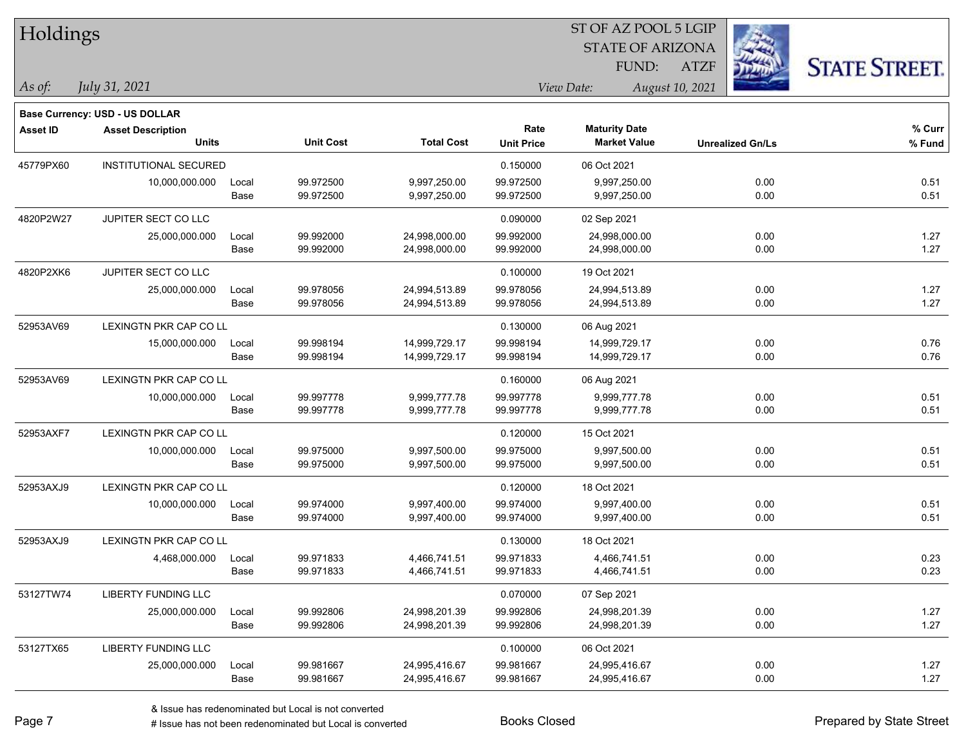| Holdings        |                                       |       |                  |                   |                   |                         |                 |                         |                      |
|-----------------|---------------------------------------|-------|------------------|-------------------|-------------------|-------------------------|-----------------|-------------------------|----------------------|
|                 |                                       |       |                  |                   |                   | <b>STATE OF ARIZONA</b> |                 |                         |                      |
|                 |                                       |       |                  |                   |                   | FUND:                   | <b>ATZF</b>     |                         | <b>STATE STREET.</b> |
| As of:          | July 31, 2021                         |       |                  |                   |                   | View Date:              | August 10, 2021 |                         |                      |
|                 | <b>Base Currency: USD - US DOLLAR</b> |       |                  |                   |                   |                         |                 |                         |                      |
| <b>Asset ID</b> | <b>Asset Description</b>              |       |                  |                   | Rate              | <b>Maturity Date</b>    |                 |                         | % Curr               |
|                 | <b>Units</b>                          |       | <b>Unit Cost</b> | <b>Total Cost</b> | <b>Unit Price</b> | <b>Market Value</b>     |                 | <b>Unrealized Gn/Ls</b> | % Fund               |
| 45779PX60       | INSTITUTIONAL SECURED                 |       |                  |                   | 0.150000          | 06 Oct 2021             |                 |                         |                      |
|                 | 10,000,000.000                        | Local | 99.972500        | 9,997,250.00      | 99.972500         | 9,997,250.00            |                 | 0.00                    | 0.51                 |
|                 |                                       | Base  | 99.972500        | 9,997,250.00      | 99.972500         | 9,997,250.00            |                 | 0.00                    | 0.51                 |
| 4820P2W27       | JUPITER SECT CO LLC                   |       |                  |                   | 0.090000          | 02 Sep 2021             |                 |                         |                      |
|                 | 25,000,000.000                        | Local | 99.992000        | 24,998,000.00     | 99.992000         | 24,998,000.00           |                 | 0.00                    | 1.27                 |
|                 |                                       | Base  | 99.992000        | 24,998,000.00     | 99.992000         | 24,998,000.00           |                 | 0.00                    | 1.27                 |
| 4820P2XK6       | JUPITER SECT CO LLC                   |       |                  |                   | 0.100000          | 19 Oct 2021             |                 |                         |                      |
|                 | 25,000,000.000                        | Local | 99.978056        | 24,994,513.89     | 99.978056         | 24,994,513.89           |                 | 0.00                    | 1.27                 |
|                 |                                       | Base  | 99.978056        | 24,994,513.89     | 99.978056         | 24,994,513.89           |                 | 0.00                    | 1.27                 |
| 52953AV69       | LEXINGTN PKR CAP CO LL                |       |                  |                   | 0.130000          | 06 Aug 2021             |                 |                         |                      |
|                 | 15,000,000.000                        | Local | 99.998194        | 14,999,729.17     | 99.998194         | 14,999,729.17           |                 | 0.00                    | 0.76                 |
|                 |                                       | Base  | 99.998194        | 14,999,729.17     | 99.998194         | 14,999,729.17           |                 | 0.00                    | 0.76                 |
| 52953AV69       | LEXINGTN PKR CAP CO LL                |       |                  |                   | 0.160000          | 06 Aug 2021             |                 |                         |                      |
|                 | 10,000,000.000                        | Local | 99.997778        | 9,999,777.78      | 99.997778         | 9,999,777.78            |                 | 0.00                    | 0.51                 |
|                 |                                       | Base  | 99.997778        | 9,999,777.78      | 99.997778         | 9,999,777.78            |                 | 0.00                    | 0.51                 |
| 52953AXF7       | LEXINGTN PKR CAP CO LL                |       |                  |                   | 0.120000          | 15 Oct 2021             |                 |                         |                      |
|                 | 10,000,000.000                        | Local | 99.975000        | 9,997,500.00      | 99.975000         | 9,997,500.00            |                 | 0.00                    | 0.51                 |
|                 |                                       | Base  | 99.975000        | 9,997,500.00      | 99.975000         | 9,997,500.00            |                 | 0.00                    | 0.51                 |
| 52953AXJ9       | LEXINGTN PKR CAP CO LL                |       |                  |                   | 0.120000          | 18 Oct 2021             |                 |                         |                      |
|                 | 10,000,000.000                        | Local | 99.974000        | 9,997,400.00      | 99.974000         | 9,997,400.00            |                 | 0.00                    | 0.51                 |
|                 |                                       | Base  | 99.974000        | 9,997,400.00      | 99.974000         | 9,997,400.00            |                 | 0.00                    | 0.51                 |
| 52953AXJ9       | LEXINGTN PKR CAP CO LL                |       |                  |                   | 0.130000          | 18 Oct 2021             |                 |                         |                      |
|                 | 4,468,000.000                         | Local | 99.971833        | 4,466,741.51      | 99.971833         | 4,466,741.51            |                 | 0.00                    | 0.23                 |
|                 |                                       | Base  | 99.971833        | 4,466,741.51      | 99.971833         | 4,466,741.51            |                 | 0.00                    | 0.23                 |
| 53127TW74       | <b>LIBERTY FUNDING LLC</b>            |       |                  |                   | 0.070000          | 07 Sep 2021             |                 |                         |                      |
|                 | 25,000,000.000                        | Local | 99.992806        | 24,998,201.39     | 99.992806         | 24,998,201.39           |                 | 0.00                    | 1.27                 |
|                 |                                       | Base  | 99.992806        | 24,998,201.39     | 99.992806         | 24,998,201.39           |                 | 0.00                    | 1.27                 |
| 53127TX65       | LIBERTY FUNDING LLC                   |       |                  |                   | 0.100000          | 06 Oct 2021             |                 |                         |                      |
|                 | 25,000,000.000                        | Local | 99.981667        | 24,995,416.67     | 99.981667         | 24,995,416.67           |                 | 0.00                    | 1.27                 |
|                 |                                       | Base  | 99.981667        | 24,995,416.67     | 99.981667         | 24,995,416.67           |                 | 0.00                    | 1.27                 |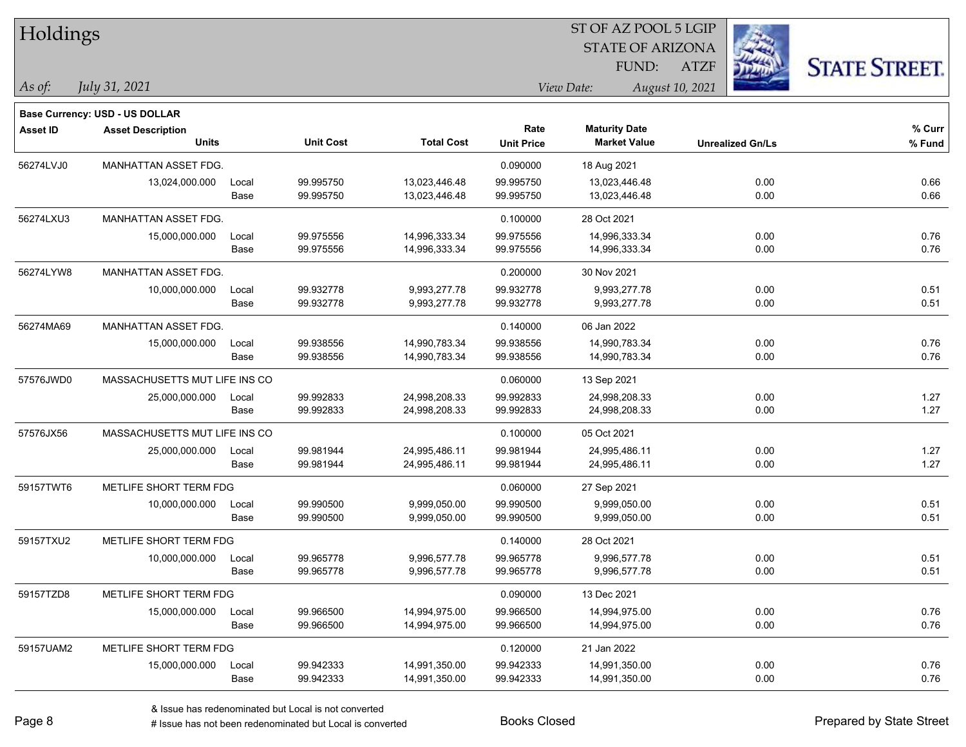| <b>Holdings</b> |                                       |       |                  |                   | 51 OF AZ POOL 5 LGIP<br>Ź. |                      |                 |                         |                      |  |
|-----------------|---------------------------------------|-------|------------------|-------------------|----------------------------|----------------------|-----------------|-------------------------|----------------------|--|
|                 |                                       |       |                  |                   |                            |                      |                 |                         |                      |  |
|                 |                                       |       |                  |                   |                            | FUND:                | <b>ATZF</b>     |                         | <b>STATE STREET.</b> |  |
| As of:          | July 31, 2021                         |       |                  |                   |                            | View Date:           | August 10, 2021 |                         |                      |  |
|                 | <b>Base Currency: USD - US DOLLAR</b> |       |                  |                   |                            |                      |                 |                         |                      |  |
| <b>Asset ID</b> | <b>Asset Description</b>              |       |                  |                   | Rate                       | <b>Maturity Date</b> |                 |                         | % Curr               |  |
|                 | <b>Units</b>                          |       | <b>Unit Cost</b> | <b>Total Cost</b> | <b>Unit Price</b>          | <b>Market Value</b>  |                 | <b>Unrealized Gn/Ls</b> | % Fund               |  |
| 56274LVJ0       | MANHATTAN ASSET FDG.                  |       |                  |                   | 0.090000                   | 18 Aug 2021          |                 |                         |                      |  |
|                 | 13,024,000.000                        | Local | 99.995750        | 13,023,446.48     | 99.995750                  | 13,023,446.48        |                 | 0.00                    | 0.66                 |  |
|                 |                                       | Base  | 99.995750        | 13,023,446.48     | 99.995750                  | 13,023,446.48        |                 | 0.00                    | 0.66                 |  |
| 56274LXU3       | <b>MANHATTAN ASSET FDG.</b>           |       |                  |                   | 0.100000                   | 28 Oct 2021          |                 |                         |                      |  |
|                 | 15,000,000.000                        | Local | 99.975556        | 14,996,333.34     | 99.975556                  | 14,996,333.34        |                 | 0.00                    | 0.76                 |  |
|                 |                                       | Base  | 99.975556        | 14,996,333.34     | 99.975556                  | 14,996,333.34        |                 | 0.00                    | 0.76                 |  |
| 56274LYW8       | MANHATTAN ASSET FDG.                  |       |                  |                   | 0.200000                   | 30 Nov 2021          |                 |                         |                      |  |
|                 | 10,000,000.000                        | Local | 99.932778        | 9,993,277.78      | 99.932778                  | 9,993,277.78         |                 | 0.00                    | 0.51                 |  |
|                 |                                       | Base  | 99.932778        | 9,993,277.78      | 99.932778                  | 9,993,277.78         |                 | 0.00                    | 0.51                 |  |
| 56274MA69       | MANHATTAN ASSET FDG.                  |       |                  |                   | 0.140000                   | 06 Jan 2022          |                 |                         |                      |  |
|                 | 15,000,000.000                        | Local | 99.938556        | 14,990,783.34     | 99.938556                  | 14,990,783.34        |                 | 0.00                    | 0.76                 |  |
|                 |                                       | Base  | 99.938556        | 14,990,783.34     | 99.938556                  | 14,990,783.34        |                 | 0.00                    | 0.76                 |  |
| 57576JWD0       | MASSACHUSETTS MUT LIFE INS CO         |       |                  |                   | 0.060000                   | 13 Sep 2021          |                 |                         |                      |  |
|                 | 25,000,000.000                        | Local | 99.992833        | 24,998,208.33     | 99.992833                  | 24,998,208.33        |                 | 0.00                    | 1.27                 |  |
|                 |                                       | Base  | 99.992833        | 24,998,208.33     | 99.992833                  | 24,998,208.33        |                 | 0.00                    | 1.27                 |  |
| 57576JX56       | MASSACHUSETTS MUT LIFE INS CO         |       |                  |                   | 0.100000                   | 05 Oct 2021          |                 |                         |                      |  |
|                 | 25,000,000.000                        | Local | 99.981944        | 24,995,486.11     | 99.981944                  | 24,995,486.11        |                 | 0.00                    | 1.27                 |  |
|                 |                                       | Base  | 99.981944        | 24,995,486.11     | 99.981944                  | 24,995,486.11        |                 | 0.00                    | 1.27                 |  |
| 59157TWT6       | METLIFE SHORT TERM FDG                |       |                  |                   | 0.060000                   | 27 Sep 2021          |                 |                         |                      |  |
|                 | 10,000,000.000                        | Local | 99.990500        | 9,999,050.00      | 99.990500                  | 9,999,050.00         |                 | 0.00                    | 0.51                 |  |
|                 |                                       | Base  | 99.990500        | 9,999,050.00      | 99.990500                  | 9,999,050.00         |                 | 0.00                    | 0.51                 |  |
| 59157TXU2       | METLIFE SHORT TERM FDG                |       |                  |                   | 0.140000                   | 28 Oct 2021          |                 |                         |                      |  |
|                 | 10,000,000.000                        | Local | 99.965778        | 9,996,577.78      | 99.965778                  | 9,996,577.78         |                 | 0.00                    | 0.51                 |  |
|                 |                                       | Base  | 99.965778        | 9,996,577.78      | 99.965778                  | 9,996,577.78         |                 | 0.00                    | 0.51                 |  |
| 59157TZD8       | METLIFE SHORT TERM FDG                |       |                  |                   | 0.090000                   | 13 Dec 2021          |                 |                         |                      |  |
|                 | 15,000,000.000                        | Local | 99.966500        | 14,994,975.00     | 99.966500                  | 14,994,975.00        |                 | 0.00                    | 0.76                 |  |
|                 |                                       | Base  | 99.966500        | 14,994,975.00     | 99.966500                  | 14,994,975.00        |                 | 0.00                    | 0.76                 |  |
| 59157UAM2       | METLIFE SHORT TERM FDG                |       |                  |                   | 0.120000                   | 21 Jan 2022          |                 |                         |                      |  |
|                 | 15,000,000.000                        | Local | 99.942333        | 14,991,350.00     | 99.942333                  | 14,991,350.00        |                 | 0.00                    | 0.76                 |  |
|                 |                                       | Base  | 99.942333        | 14,991,350.00     | 99.942333                  | 14,991,350.00        |                 | 0.00                    | 0.76                 |  |

 $ST$  OF AZ POOL 5 LGIP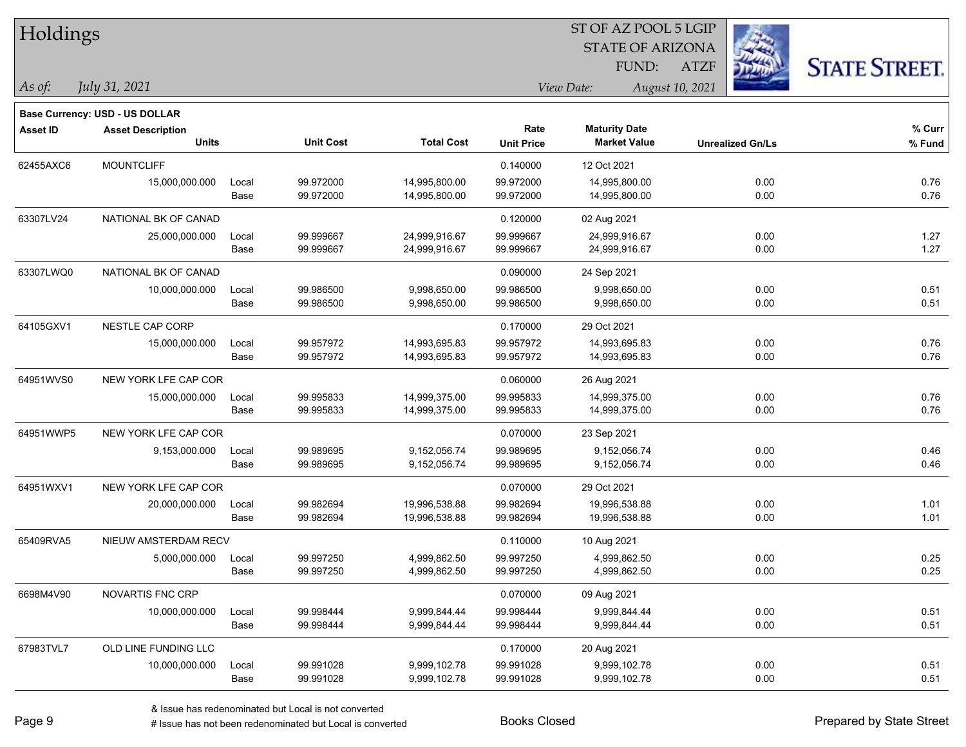| Holdings        |                                |       |                  | ST OF AZ POOL 5 LGIP |                   |                         |                         |                      |  |  |
|-----------------|--------------------------------|-------|------------------|----------------------|-------------------|-------------------------|-------------------------|----------------------|--|--|
|                 |                                |       |                  |                      |                   | <b>STATE OF ARIZONA</b> |                         |                      |  |  |
|                 |                                |       |                  |                      |                   | FUND:                   | <b>ATZF</b>             | <b>STATE STREET.</b> |  |  |
| As of:          | July 31, 2021                  |       |                  |                      |                   | View Date:              | August 10, 2021         |                      |  |  |
|                 | Base Currency: USD - US DOLLAR |       |                  |                      |                   |                         |                         |                      |  |  |
| <b>Asset ID</b> | <b>Asset Description</b>       |       |                  |                      | Rate              | <b>Maturity Date</b>    |                         | % Curr               |  |  |
|                 | <b>Units</b>                   |       | <b>Unit Cost</b> | <b>Total Cost</b>    | <b>Unit Price</b> | <b>Market Value</b>     | <b>Unrealized Gn/Ls</b> | % Fund               |  |  |
| 62455AXC6       | <b>MOUNTCLIFF</b>              |       |                  |                      | 0.140000          | 12 Oct 2021             |                         |                      |  |  |
|                 | 15,000,000.000                 | Local | 99.972000        | 14,995,800.00        | 99.972000         | 14,995,800.00           | 0.00                    | 0.76                 |  |  |
|                 |                                | Base  | 99.972000        | 14,995,800.00        | 99.972000         | 14,995,800.00           | 0.00                    | 0.76                 |  |  |
| 63307LV24       | NATIONAL BK OF CANAD           |       |                  |                      | 0.120000          | 02 Aug 2021             |                         |                      |  |  |
|                 | 25,000,000.000                 | Local | 99.999667        | 24,999,916.67        | 99.999667         | 24,999,916.67           | 0.00                    | 1.27                 |  |  |
|                 |                                | Base  | 99.999667        | 24,999,916.67        | 99.999667         | 24,999,916.67           | 0.00                    | 1.27                 |  |  |
| 63307LWQ0       | NATIONAL BK OF CANAD           |       |                  |                      | 0.090000          | 24 Sep 2021             |                         |                      |  |  |
|                 | 10,000,000.000                 | Local | 99.986500        | 9,998,650.00         | 99.986500         | 9,998,650.00            | 0.00                    | 0.51                 |  |  |
|                 |                                | Base  | 99.986500        | 9,998,650.00         | 99.986500         | 9,998,650.00            | 0.00                    | 0.51                 |  |  |
| 64105GXV1       | NESTLE CAP CORP                |       |                  |                      | 0.170000          | 29 Oct 2021             |                         |                      |  |  |
|                 | 15,000,000.000                 | Local | 99.957972        | 14,993,695.83        | 99.957972         | 14,993,695.83           | 0.00                    | 0.76                 |  |  |
|                 |                                | Base  | 99.957972        | 14,993,695.83        | 99.957972         | 14,993,695.83           | 0.00                    | 0.76                 |  |  |
| 64951WVS0       | NEW YORK LFE CAP COR           |       |                  |                      | 0.060000          | 26 Aug 2021             |                         |                      |  |  |
|                 | 15,000,000.000                 | Local | 99.995833        | 14,999,375.00        | 99.995833         | 14,999,375.00           | 0.00                    | 0.76                 |  |  |
|                 |                                | Base  | 99.995833        | 14,999,375.00        | 99.995833         | 14,999,375.00           | 0.00                    | 0.76                 |  |  |
| 64951WWP5       | NEW YORK LFE CAP COR           |       |                  |                      | 0.070000          | 23 Sep 2021             |                         |                      |  |  |
|                 | 9,153,000.000                  | Local | 99.989695        | 9,152,056.74         | 99.989695         | 9,152,056.74            | 0.00                    | 0.46                 |  |  |
|                 |                                | Base  | 99.989695        | 9,152,056.74         | 99.989695         | 9,152,056.74            | 0.00                    | 0.46                 |  |  |
| 64951WXV1       | NEW YORK LFE CAP COR           |       |                  |                      | 0.070000          | 29 Oct 2021             |                         |                      |  |  |
|                 | 20,000,000.000                 | Local | 99.982694        | 19,996,538.88        | 99.982694         | 19,996,538.88           | 0.00                    | 1.01                 |  |  |
|                 |                                | Base  | 99.982694        | 19,996,538.88        | 99.982694         | 19,996,538.88           | 0.00                    | 1.01                 |  |  |
| 65409RVA5       | NIEUW AMSTERDAM RECV           |       |                  |                      | 0.110000          | 10 Aug 2021             |                         |                      |  |  |
|                 | 5,000,000.000                  | Local | 99.997250        | 4,999,862.50         | 99.997250         | 4,999,862.50            | 0.00                    | 0.25                 |  |  |
|                 |                                | Base  | 99.997250        | 4,999,862.50         | 99.997250         | 4,999,862.50            | 0.00                    | 0.25                 |  |  |
| 6698M4V90       | NOVARTIS FNC CRP               |       |                  |                      | 0.070000          | 09 Aug 2021             |                         |                      |  |  |
|                 | 10,000,000.000                 | Local | 99.998444        | 9,999,844.44         | 99.998444         | 9,999,844.44            | 0.00                    | 0.51                 |  |  |
|                 |                                | Base  | 99.998444        | 9,999,844.44         | 99.998444         | 9,999,844.44            | 0.00                    | 0.51                 |  |  |
| 67983TVL7       | OLD LINE FUNDING LLC           |       |                  |                      | 0.170000          | 20 Aug 2021             |                         |                      |  |  |
|                 | 10,000,000.000                 | Local | 99.991028        | 9,999,102.78         | 99.991028         | 9,999,102.78            | 0.00                    | 0.51                 |  |  |
|                 |                                | Base  | 99.991028        | 9,999,102.78         | 99.991028         | 9,999,102.78            | 0.00                    | 0.51                 |  |  |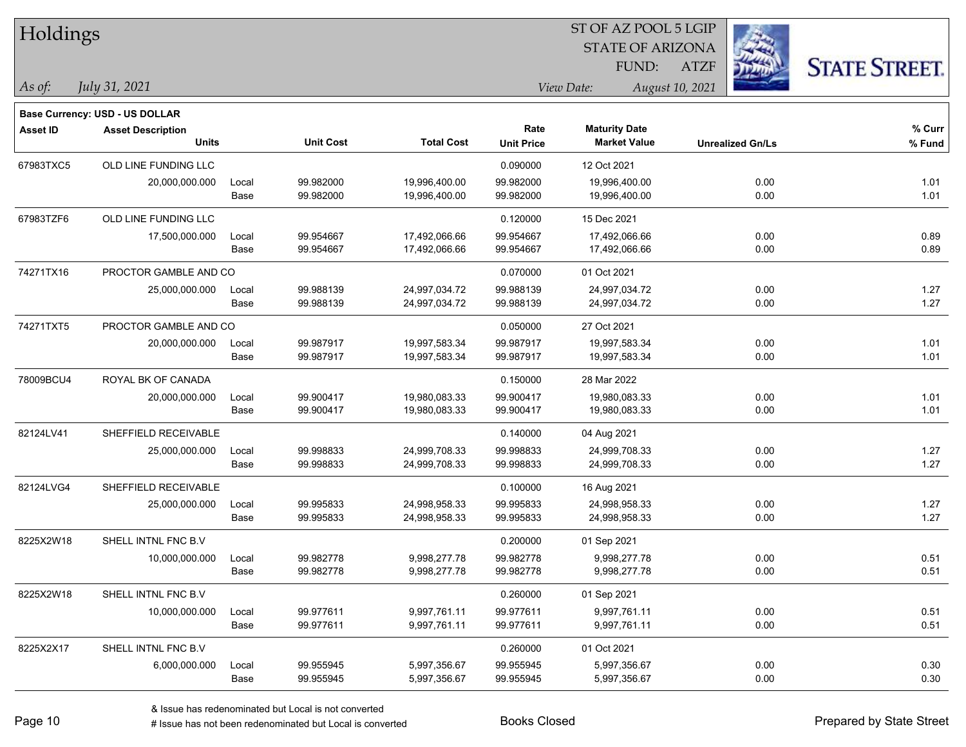| Holdings        |                                          |       |                        |                                |                           | ST OF AZ POOL 5 LGIP                        |                         |                      |
|-----------------|------------------------------------------|-------|------------------------|--------------------------------|---------------------------|---------------------------------------------|-------------------------|----------------------|
|                 |                                          |       |                        |                                |                           | <b>STATE OF ARIZONA</b>                     |                         |                      |
|                 |                                          |       |                        |                                |                           | FUND:                                       | <b>ATZF</b>             | <b>STATE STREET.</b> |
| As of:          | July 31, 2021                            |       |                        |                                |                           | View Date:                                  | August 10, 2021         |                      |
|                 |                                          |       |                        |                                |                           |                                             |                         |                      |
|                 | Base Currency: USD - US DOLLAR           |       |                        |                                |                           |                                             |                         |                      |
| <b>Asset ID</b> | <b>Asset Description</b><br><b>Units</b> |       | <b>Unit Cost</b>       | <b>Total Cost</b>              | Rate<br><b>Unit Price</b> | <b>Maturity Date</b><br><b>Market Value</b> | <b>Unrealized Gn/Ls</b> | % Curr<br>% Fund     |
|                 |                                          |       |                        |                                |                           |                                             |                         |                      |
| 67983TXC5       | OLD LINE FUNDING LLC                     |       |                        |                                | 0.090000                  | 12 Oct 2021                                 |                         |                      |
|                 | 20,000,000.000                           | Local | 99.982000<br>99.982000 | 19,996,400.00<br>19,996,400.00 | 99.982000<br>99.982000    | 19,996,400.00<br>19,996,400.00              | 0.00<br>0.00            | 1.01<br>1.01         |
|                 |                                          | Base  |                        |                                |                           |                                             |                         |                      |
| 67983TZF6       | OLD LINE FUNDING LLC                     |       |                        |                                | 0.120000                  | 15 Dec 2021                                 |                         |                      |
|                 | 17,500,000.000                           | Local | 99.954667              | 17,492,066.66                  | 99.954667                 | 17,492,066.66                               | 0.00                    | 0.89                 |
|                 |                                          | Base  | 99.954667              | 17,492,066.66                  | 99.954667                 | 17,492,066.66                               | 0.00                    | 0.89                 |
| 74271TX16       | PROCTOR GAMBLE AND CO                    |       |                        |                                | 0.070000                  | 01 Oct 2021                                 |                         |                      |
|                 | 25,000,000.000                           | Local | 99.988139              | 24,997,034.72                  | 99.988139                 | 24,997,034.72                               | 0.00                    | 1.27                 |
|                 |                                          | Base  | 99.988139              | 24,997,034.72                  | 99.988139                 | 24,997,034.72                               | 0.00                    | 1.27                 |
| 74271TXT5       | PROCTOR GAMBLE AND CO                    |       |                        |                                | 0.050000                  | 27 Oct 2021                                 |                         |                      |
|                 | 20,000,000.000                           | Local | 99.987917              | 19,997,583.34                  | 99.987917                 | 19,997,583.34                               | 0.00                    | 1.01                 |
|                 |                                          | Base  | 99.987917              | 19,997,583.34                  | 99.987917                 | 19,997,583.34                               | 0.00                    | 1.01                 |
| 78009BCU4       | ROYAL BK OF CANADA                       |       |                        |                                | 0.150000                  | 28 Mar 2022                                 |                         |                      |
|                 | 20,000,000.000                           | Local | 99.900417              | 19,980,083.33                  | 99.900417                 | 19,980,083.33                               | 0.00                    | 1.01                 |
|                 |                                          | Base  | 99.900417              | 19,980,083.33                  | 99.900417                 | 19,980,083.33                               | 0.00                    | 1.01                 |
| 82124LV41       | SHEFFIELD RECEIVABLE                     |       |                        |                                | 0.140000                  | 04 Aug 2021                                 |                         |                      |
|                 | 25,000,000.000                           | Local | 99.998833              | 24,999,708.33                  | 99.998833                 | 24,999,708.33                               | 0.00                    | 1.27                 |
|                 |                                          | Base  | 99.998833              | 24,999,708.33                  | 99.998833                 | 24,999,708.33                               | 0.00                    | 1.27                 |
| 82124LVG4       | SHEFFIELD RECEIVABLE                     |       |                        |                                | 0.100000                  | 16 Aug 2021                                 |                         |                      |
|                 | 25,000,000.000                           | Local | 99.995833              | 24,998,958.33                  | 99.995833                 | 24,998,958.33                               | 0.00                    | 1.27                 |
|                 |                                          | Base  | 99.995833              | 24,998,958.33                  | 99.995833                 | 24,998,958.33                               | 0.00                    | 1.27                 |
| 8225X2W18       | SHELL INTNL FNC B.V                      |       |                        |                                | 0.200000                  | 01 Sep 2021                                 |                         |                      |
|                 | 10,000,000.000                           | Local | 99.982778              | 9,998,277.78                   | 99.982778                 | 9,998,277.78                                | 0.00                    | 0.51                 |
|                 |                                          | Base  | 99.982778              | 9,998,277.78                   | 99.982778                 | 9,998,277.78                                | 0.00                    | 0.51                 |
| 8225X2W18       | SHELL INTNL FNC B.V                      |       |                        |                                | 0.260000                  | 01 Sep 2021                                 |                         |                      |
|                 | 10,000,000.000                           | Local | 99.977611              | 9,997,761.11                   | 99.977611                 | 9,997,761.11                                | 0.00                    | 0.51                 |
|                 |                                          | Base  | 99.977611              | 9,997,761.11                   | 99.977611                 | 9,997,761.11                                | 0.00                    | 0.51                 |
| 8225X2X17       | SHELL INTNL FNC B.V                      |       |                        |                                | 0.260000                  | 01 Oct 2021                                 |                         |                      |
|                 | 6,000,000.000                            | Local | 99.955945              | 5,997,356.67                   | 99.955945                 | 5,997,356.67                                | 0.00                    | 0.30                 |
|                 |                                          | Base  | 99.955945              | 5,997,356.67                   | 99.955945                 | 5,997,356.67                                | 0.00                    | 0.30                 |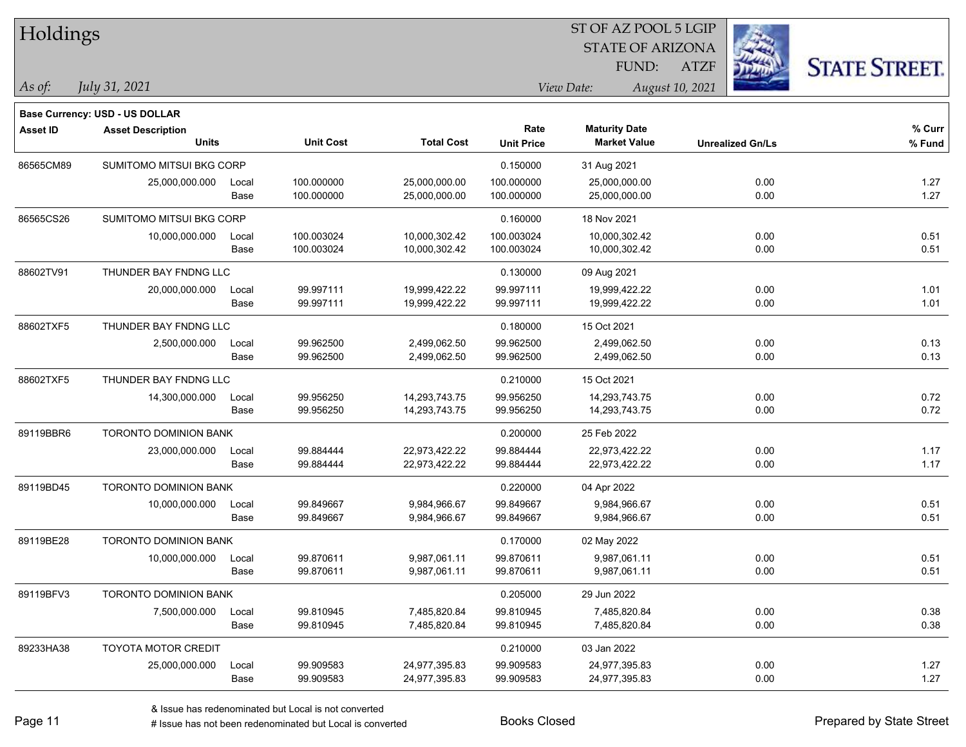| Holdings        |                                       |       |                  |                   |                   | ST OF AZ POOL 5 LGIP    |                 |                         |                      |
|-----------------|---------------------------------------|-------|------------------|-------------------|-------------------|-------------------------|-----------------|-------------------------|----------------------|
|                 |                                       |       |                  |                   |                   | <b>STATE OF ARIZONA</b> |                 |                         |                      |
|                 |                                       |       |                  |                   |                   | FUND:                   | <b>ATZF</b>     |                         | <b>STATE STREET.</b> |
| As of:          | July 31, 2021                         |       |                  |                   |                   | View Date:              | August 10, 2021 |                         |                      |
|                 | <b>Base Currency: USD - US DOLLAR</b> |       |                  |                   |                   |                         |                 |                         |                      |
| <b>Asset ID</b> | <b>Asset Description</b>              |       |                  |                   | Rate              | <b>Maturity Date</b>    |                 |                         | % Curr               |
|                 | <b>Units</b>                          |       | <b>Unit Cost</b> | <b>Total Cost</b> | <b>Unit Price</b> | <b>Market Value</b>     |                 | <b>Unrealized Gn/Ls</b> | % Fund               |
| 86565CM89       | SUMITOMO MITSUI BKG CORP              |       |                  |                   | 0.150000          | 31 Aug 2021             |                 |                         |                      |
|                 | 25,000,000.000                        | Local | 100.000000       | 25,000,000.00     | 100.000000        | 25,000,000.00           |                 | 0.00                    | 1.27                 |
|                 |                                       | Base  | 100.000000       | 25,000,000.00     | 100.000000        | 25,000,000.00           |                 | 0.00                    | 1.27                 |
| 86565CS26       | SUMITOMO MITSUI BKG CORP              |       |                  |                   | 0.160000          | 18 Nov 2021             |                 |                         |                      |
|                 | 10,000,000.000                        | Local | 100.003024       | 10,000,302.42     | 100.003024        | 10,000,302.42           |                 | 0.00                    | 0.51                 |
|                 |                                       | Base  | 100.003024       | 10,000,302.42     | 100.003024        | 10,000,302.42           |                 | 0.00                    | 0.51                 |
| 88602TV91       | THUNDER BAY FNDNG LLC                 |       |                  |                   | 0.130000          | 09 Aug 2021             |                 |                         |                      |
|                 | 20,000,000.000                        | Local | 99.997111        | 19,999,422.22     | 99.997111         | 19,999,422.22           |                 | 0.00                    | 1.01                 |
|                 |                                       | Base  | 99.997111        | 19,999,422.22     | 99.997111         | 19,999,422.22           |                 | 0.00                    | 1.01                 |
| 88602TXF5       | THUNDER BAY FNDNG LLC                 |       |                  |                   | 0.180000          | 15 Oct 2021             |                 |                         |                      |
|                 | 2,500,000.000                         | Local | 99.962500        | 2,499,062.50      | 99.962500         | 2,499,062.50            |                 | 0.00                    | 0.13                 |
|                 |                                       | Base  | 99.962500        | 2,499,062.50      | 99.962500         | 2,499,062.50            |                 | 0.00                    | 0.13                 |
| 88602TXF5       | THUNDER BAY FNDNG LLC                 |       |                  |                   | 0.210000          | 15 Oct 2021             |                 |                         |                      |
|                 | 14,300,000.000                        | Local | 99.956250        | 14,293,743.75     | 99.956250         | 14,293,743.75           |                 | 0.00                    | 0.72                 |
|                 |                                       | Base  | 99.956250        | 14,293,743.75     | 99.956250         | 14,293,743.75           |                 | 0.00                    | 0.72                 |
| 89119BBR6       | <b>TORONTO DOMINION BANK</b>          |       |                  |                   | 0.200000          | 25 Feb 2022             |                 |                         |                      |
|                 | 23,000,000.000                        | Local | 99.884444        | 22,973,422.22     | 99.884444         | 22,973,422.22           |                 | 0.00                    | 1.17                 |
|                 |                                       | Base  | 99.884444        | 22,973,422.22     | 99.884444         | 22,973,422.22           |                 | 0.00                    | 1.17                 |
| 89119BD45       | TORONTO DOMINION BANK                 |       |                  |                   | 0.220000          | 04 Apr 2022             |                 |                         |                      |
|                 | 10,000,000.000                        | Local | 99.849667        | 9,984,966.67      | 99.849667         | 9,984,966.67            |                 | 0.00                    | 0.51                 |
|                 |                                       | Base  | 99.849667        | 9,984,966.67      | 99.849667         | 9,984,966.67            |                 | 0.00                    | 0.51                 |
| 89119BE28       | <b>TORONTO DOMINION BANK</b>          |       |                  |                   | 0.170000          | 02 May 2022             |                 |                         |                      |
|                 | 10,000,000.000                        | Local | 99.870611        | 9,987,061.11      | 99.870611         | 9,987,061.11            |                 | 0.00                    | 0.51                 |
|                 |                                       | Base  | 99.870611        | 9,987,061.11      | 99.870611         | 9,987,061.11            |                 | 0.00                    | 0.51                 |
| 89119BFV3       | <b>TORONTO DOMINION BANK</b>          |       |                  |                   | 0.205000          | 29 Jun 2022             |                 |                         |                      |
|                 | 7,500,000.000                         | Local | 99.810945        | 7,485,820.84      | 99.810945         | 7,485,820.84            |                 | 0.00                    | 0.38                 |
|                 |                                       | Base  | 99.810945        | 7,485,820.84      | 99.810945         | 7,485,820.84            |                 | 0.00                    | 0.38                 |
| 89233HA38       | TOYOTA MOTOR CREDIT                   |       |                  |                   | 0.210000          | 03 Jan 2022             |                 |                         |                      |
|                 | 25,000,000.000                        | Local | 99.909583        | 24,977,395.83     | 99.909583         | 24,977,395.83           |                 | 0.00                    | 1.27                 |
|                 |                                       | Base  | 99.909583        | 24,977,395.83     | 99.909583         | 24,977,395.83           |                 | 0.00                    | 1.27                 |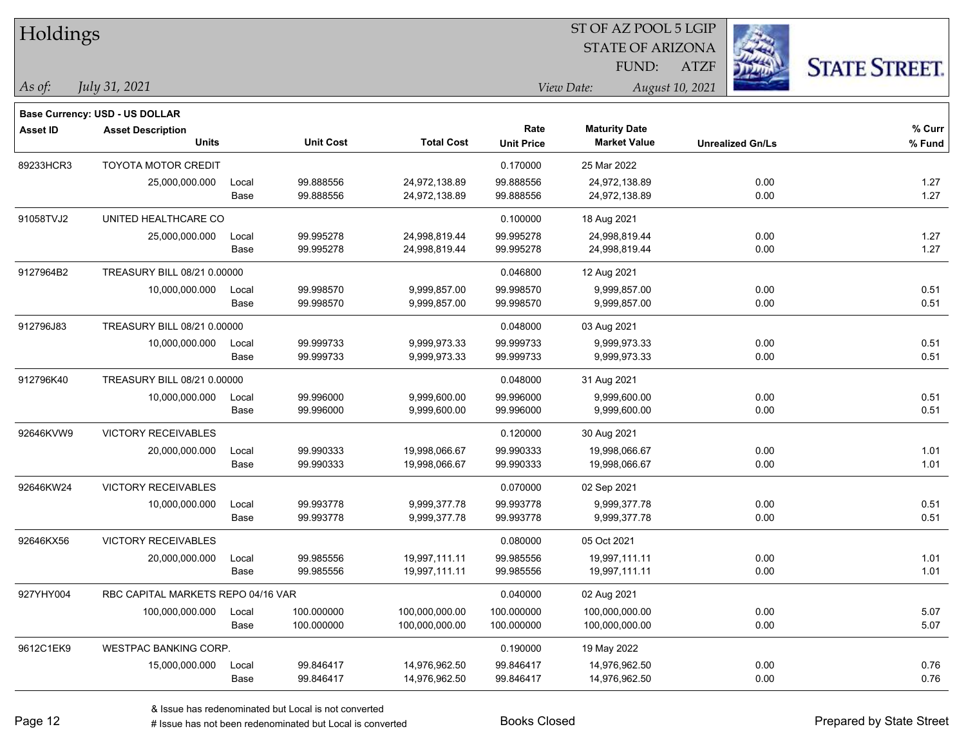| Holdings        |                                       |       |                  |                   |                   | ST OF AZ POOL 5 LGIP    |                 |                         |                      |
|-----------------|---------------------------------------|-------|------------------|-------------------|-------------------|-------------------------|-----------------|-------------------------|----------------------|
|                 |                                       |       |                  |                   |                   | <b>STATE OF ARIZONA</b> |                 |                         |                      |
|                 |                                       |       |                  |                   |                   | FUND:                   | <b>ATZF</b>     |                         | <b>STATE STREET.</b> |
| As of:          | July 31, 2021                         |       |                  |                   |                   | View Date:              | August 10, 2021 |                         |                      |
|                 | <b>Base Currency: USD - US DOLLAR</b> |       |                  |                   |                   |                         |                 |                         |                      |
| <b>Asset ID</b> | <b>Asset Description</b>              |       |                  |                   | Rate              | <b>Maturity Date</b>    |                 |                         | % Curr               |
|                 | <b>Units</b>                          |       | <b>Unit Cost</b> | <b>Total Cost</b> | <b>Unit Price</b> | <b>Market Value</b>     |                 | <b>Unrealized Gn/Ls</b> | % Fund               |
| 89233HCR3       | <b>TOYOTA MOTOR CREDIT</b>            |       |                  |                   | 0.170000          | 25 Mar 2022             |                 |                         |                      |
|                 | 25,000,000.000                        | Local | 99.888556        | 24,972,138.89     | 99.888556         | 24,972,138.89           |                 | 0.00                    | 1.27                 |
|                 |                                       | Base  | 99.888556        | 24,972,138.89     | 99.888556         | 24,972,138.89           |                 | 0.00                    | 1.27                 |
| 91058TVJ2       | UNITED HEALTHCARE CO                  |       |                  |                   | 0.100000          | 18 Aug 2021             |                 |                         |                      |
|                 | 25,000,000.000                        | Local | 99.995278        | 24,998,819.44     | 99.995278         | 24,998,819.44           |                 | 0.00                    | 1.27                 |
|                 |                                       | Base  | 99.995278        | 24,998,819.44     | 99.995278         | 24,998,819.44           |                 | 0.00                    | 1.27                 |
| 9127964B2       | TREASURY BILL 08/21 0.00000           |       |                  |                   | 0.046800          | 12 Aug 2021             |                 |                         |                      |
|                 | 10,000,000.000                        | Local | 99.998570        | 9,999,857.00      | 99.998570         | 9,999,857.00            |                 | 0.00                    | 0.51                 |
|                 |                                       | Base  | 99.998570        | 9,999,857.00      | 99.998570         | 9,999,857.00            |                 | 0.00                    | 0.51                 |
| 912796J83       | TREASURY BILL 08/21 0.00000           |       |                  |                   | 0.048000          | 03 Aug 2021             |                 |                         |                      |
|                 | 10,000,000.000                        | Local | 99.999733        | 9,999,973.33      | 99.999733         | 9,999,973.33            |                 | 0.00                    | 0.51                 |
|                 |                                       | Base  | 99.999733        | 9,999,973.33      | 99.999733         | 9,999,973.33            |                 | 0.00                    | 0.51                 |
| 912796K40       | TREASURY BILL 08/21 0.00000           |       |                  |                   | 0.048000          | 31 Aug 2021             |                 |                         |                      |
|                 | 10,000,000.000                        | Local | 99.996000        | 9,999,600.00      | 99.996000         | 9,999,600.00            |                 | 0.00                    | 0.51                 |
|                 |                                       | Base  | 99.996000        | 9,999,600.00      | 99.996000         | 9,999,600.00            |                 | 0.00                    | 0.51                 |
| 92646KVW9       | <b>VICTORY RECEIVABLES</b>            |       |                  |                   | 0.120000          | 30 Aug 2021             |                 |                         |                      |
|                 | 20,000,000.000                        | Local | 99.990333        | 19,998,066.67     | 99.990333         | 19,998,066.67           |                 | 0.00                    | 1.01                 |
|                 |                                       | Base  | 99.990333        | 19,998,066.67     | 99.990333         | 19,998,066.67           |                 | 0.00                    | 1.01                 |
| 92646KW24       | VICTORY RECEIVABLES                   |       |                  |                   | 0.070000          | 02 Sep 2021             |                 |                         |                      |
|                 | 10,000,000.000                        | Local | 99.993778        | 9,999,377.78      | 99.993778         | 9,999,377.78            |                 | 0.00                    | 0.51                 |
|                 |                                       | Base  | 99.993778        | 9,999,377.78      | 99.993778         | 9,999,377.78            |                 | 0.00                    | 0.51                 |
| 92646KX56       | VICTORY RECEIVABLES                   |       |                  |                   | 0.080000          | 05 Oct 2021             |                 |                         |                      |
|                 | 20,000,000.000                        | Local | 99.985556        | 19,997,111.11     | 99.985556         | 19,997,111.11           |                 | 0.00                    | 1.01                 |
|                 |                                       | Base  | 99.985556        | 19,997,111.11     | 99.985556         | 19,997,111.11           |                 | 0.00                    | 1.01                 |
| 927YHY004       | RBC CAPITAL MARKETS REPO 04/16 VAR    |       |                  |                   | 0.040000          | 02 Aug 2021             |                 |                         |                      |
|                 | 100,000,000.000                       | Local | 100.000000       | 100,000,000.00    | 100.000000        | 100,000,000.00          |                 | 0.00                    | 5.07                 |
|                 |                                       | Base  | 100.000000       | 100,000,000.00    | 100.000000        | 100,000,000.00          |                 | 0.00                    | 5.07                 |
| 9612C1EK9       | WESTPAC BANKING CORP.                 |       |                  |                   | 0.190000          | 19 May 2022             |                 |                         |                      |
|                 | 15,000,000.000                        | Local | 99.846417        | 14,976,962.50     | 99.846417         | 14,976,962.50           |                 | 0.00                    | 0.76                 |
|                 |                                       | Base  | 99.846417        | 14,976,962.50     | 99.846417         | 14,976,962.50           |                 | 0.00                    | 0.76                 |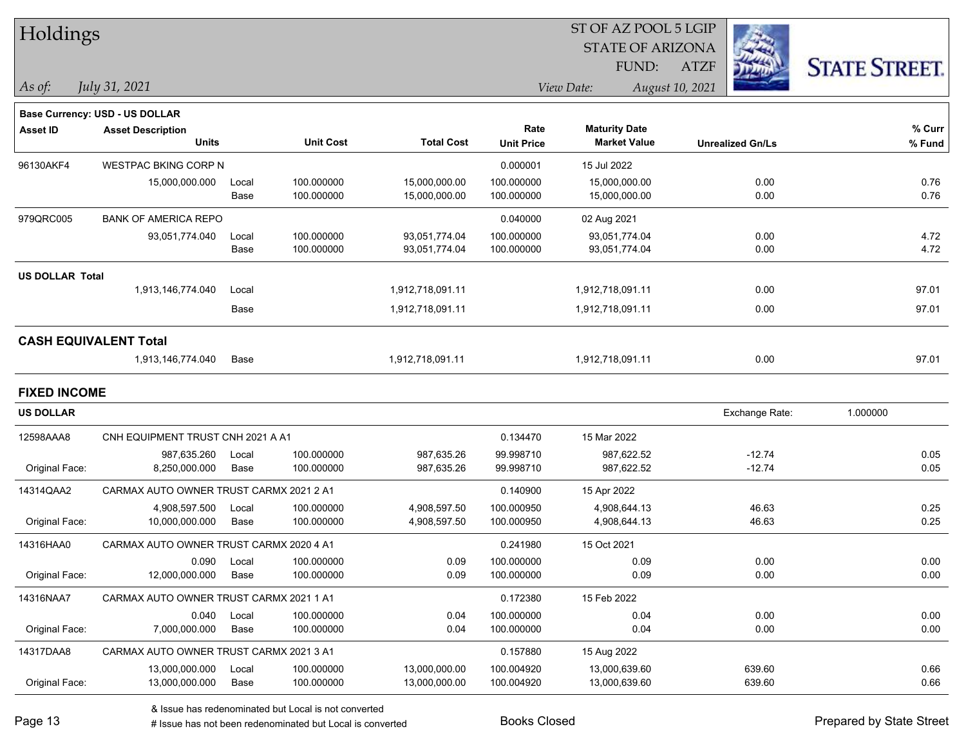| Holdings               |                                          |       |                  |                   |                   | ST OF AZ POOL 5 LGIP    |                         |                      |
|------------------------|------------------------------------------|-------|------------------|-------------------|-------------------|-------------------------|-------------------------|----------------------|
|                        |                                          |       |                  |                   |                   | <b>STATE OF ARIZONA</b> |                         |                      |
|                        |                                          |       |                  |                   |                   | FUND:                   | <b>ATZF</b>             | <b>STATE STREET.</b> |
| As of:                 | July 31, 2021                            |       |                  |                   |                   | View Date:              | August 10, 2021         |                      |
|                        |                                          |       |                  |                   |                   |                         |                         |                      |
| <b>Asset ID</b>        | <b>Base Currency: USD - US DOLLAR</b>    |       |                  |                   | Rate              | <b>Maturity Date</b>    |                         | % Curr               |
|                        | <b>Asset Description</b><br><b>Units</b> |       | <b>Unit Cost</b> | <b>Total Cost</b> | <b>Unit Price</b> | <b>Market Value</b>     | <b>Unrealized Gn/Ls</b> | % Fund               |
| 96130AKF4              | <b>WESTPAC BKING CORP N</b>              |       |                  |                   | 0.000001          | 15 Jul 2022             |                         |                      |
|                        | 15,000,000.000                           | Local | 100.000000       | 15,000,000.00     | 100.000000        | 15,000,000.00           | 0.00                    | 0.76                 |
|                        |                                          | Base  | 100.000000       | 15,000,000.00     | 100.000000        | 15,000,000.00           | 0.00                    | 0.76                 |
| 979QRC005              | <b>BANK OF AMERICA REPO</b>              |       |                  |                   | 0.040000          | 02 Aug 2021             |                         |                      |
|                        | 93,051,774.040                           | Local | 100.000000       | 93,051,774.04     | 100.000000        | 93,051,774.04           | 0.00                    | 4.72                 |
|                        |                                          | Base  | 100.000000       | 93,051,774.04     | 100.000000        | 93,051,774.04           | 0.00                    | 4.72                 |
| <b>US DOLLAR Total</b> |                                          |       |                  |                   |                   |                         |                         |                      |
|                        | 1,913,146,774.040                        | Local |                  | 1,912,718,091.11  |                   | 1,912,718,091.11        | 0.00                    | 97.01                |
|                        |                                          | Base  |                  | 1,912,718,091.11  |                   | 1,912,718,091.11        | 0.00                    | 97.01                |
|                        | <b>CASH EQUIVALENT Total</b>             |       |                  |                   |                   |                         |                         |                      |
|                        | 1,913,146,774.040                        | Base  |                  | 1,912,718,091.11  |                   | 1,912,718,091.11        | 0.00                    | 97.01                |
| <b>FIXED INCOME</b>    |                                          |       |                  |                   |                   |                         |                         |                      |
|                        |                                          |       |                  |                   |                   |                         |                         |                      |
| <b>US DOLLAR</b>       |                                          |       |                  |                   |                   |                         | Exchange Rate:          | 1.000000             |
| 12598AAA8              | CNH EQUIPMENT TRUST CNH 2021 A A1        |       |                  |                   | 0.134470          | 15 Mar 2022             |                         |                      |
|                        | 987,635.260                              | Local | 100.000000       | 987,635.26        | 99.998710         | 987,622.52              | $-12.74$                | 0.05                 |
| Original Face:         | 8,250,000.000                            | Base  | 100.000000       | 987,635.26        | 99.998710         | 987,622.52              | $-12.74$                | 0.05                 |
| 14314QAA2              | CARMAX AUTO OWNER TRUST CARMX 2021 2 A1  |       |                  |                   | 0.140900          | 15 Apr 2022             |                         |                      |
|                        | 4,908,597.500                            | Local | 100.000000       | 4,908,597.50      | 100.000950        | 4,908,644.13            | 46.63                   | 0.25                 |
| Original Face:         | 10,000,000.000                           | Base  | 100.000000       | 4,908,597.50      | 100.000950        | 4,908,644.13            | 46.63                   | 0.25                 |
| 14316HAA0              | CARMAX AUTO OWNER TRUST CARMX 2020 4 A1  |       |                  |                   | 0.241980          | 15 Oct 2021             |                         |                      |
|                        | 0.090                                    | Local | 100.000000       | 0.09              | 100.000000        | 0.09                    | 0.00                    | 0.00                 |
| Original Face:         | 12,000,000.000                           | Base  | 100.000000       | 0.09              | 100.000000        | 0.09                    | 0.00                    | 0.00                 |
| 14316NAA7              | CARMAX AUTO OWNER TRUST CARMX 2021 1 A1  |       |                  |                   | 0.172380          | 15 Feb 2022             |                         |                      |
|                        | 0.040                                    | Local | 100.000000       | 0.04              | 100.000000        | 0.04                    | 0.00                    | 0.00                 |
| Original Face:         | 7,000,000.000                            | Base  | 100.000000       | 0.04              | 100.000000        | 0.04                    | 0.00                    | 0.00                 |
| 14317DAA8              | CARMAX AUTO OWNER TRUST CARMX 2021 3 A1  |       |                  |                   | 0.157880          | 15 Aug 2022             |                         |                      |
|                        | 13,000,000.000                           | Local | 100.000000       | 13,000,000.00     | 100.004920        | 13,000,639.60           | 639.60                  | 0.66                 |
| Original Face:         | 13,000,000.000                           | Base  | 100.000000       | 13,000,000.00     | 100.004920        | 13,000,639.60           | 639.60                  | 0.66                 |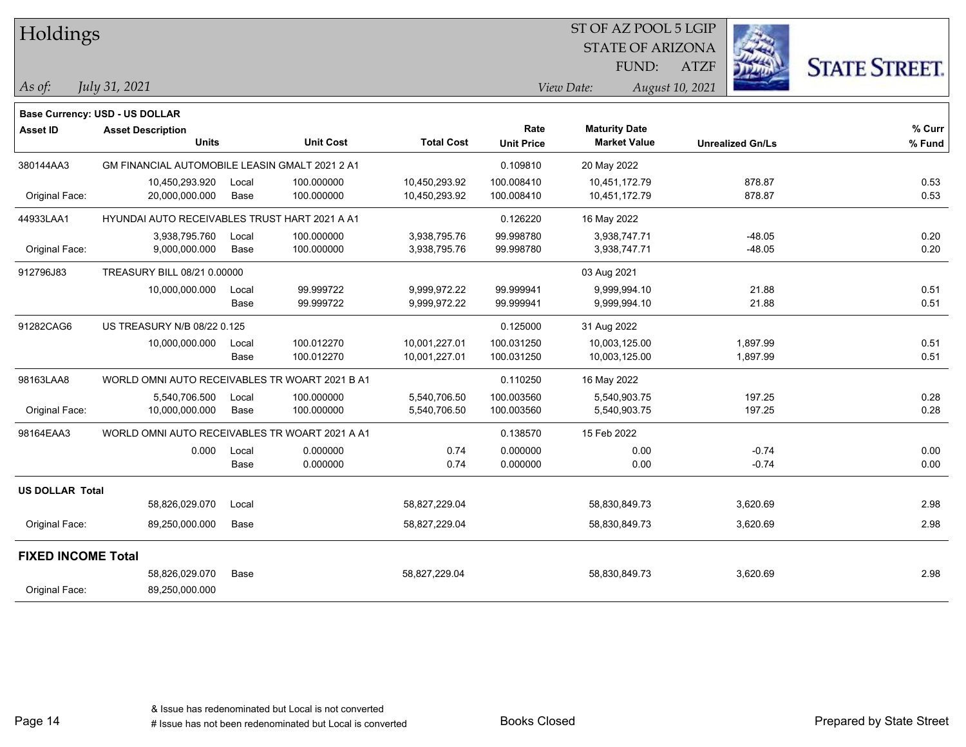| Holdings                  |                                                |               |                          |                                |                           | ST OF AZ POOL 5 LGIP<br><b>STATE OF ARIZONA</b><br>FUND: | <b>ATZF</b>             | <b>STATE STREET.</b> |
|---------------------------|------------------------------------------------|---------------|--------------------------|--------------------------------|---------------------------|----------------------------------------------------------|-------------------------|----------------------|
| As of:                    | July 31, 2021                                  |               |                          |                                |                           | View Date:                                               | August 10, 2021         |                      |
|                           | Base Currency: USD - US DOLLAR                 |               |                          |                                |                           |                                                          |                         |                      |
| <b>Asset ID</b>           | <b>Asset Description</b><br><b>Units</b>       |               | <b>Unit Cost</b>         | <b>Total Cost</b>              | Rate<br><b>Unit Price</b> | <b>Maturity Date</b><br><b>Market Value</b>              | <b>Unrealized Gn/Ls</b> | % Curr<br>% Fund     |
| 380144AA3                 | GM FINANCIAL AUTOMOBILE LEASIN GMALT 2021 2 A1 |               |                          |                                | 0.109810                  | 20 May 2022                                              |                         |                      |
| Original Face:            | 10,450,293.920<br>20,000,000.000               | Local<br>Base | 100.000000<br>100.000000 | 10,450,293.92<br>10,450,293.92 | 100.008410<br>100.008410  | 10,451,172.79<br>10,451,172.79                           | 878.87<br>878.87        | 0.53<br>0.53         |
| 44933LAA1                 | HYUNDAI AUTO RECEIVABLES TRUST HART 2021 A A1  |               |                          |                                | 0.126220                  | 16 May 2022                                              |                         |                      |
| Original Face:            | 3,938,795.760<br>9,000,000.000                 | Local<br>Base | 100.000000<br>100.000000 | 3,938,795.76<br>3,938,795.76   | 99.998780<br>99.998780    | 3,938,747.71<br>3,938,747.71                             | $-48.05$<br>$-48.05$    | 0.20<br>0.20         |
| 912796J83                 | TREASURY BILL 08/21 0.00000                    |               |                          |                                |                           | 03 Aug 2021                                              |                         |                      |
|                           | 10,000,000.000                                 | Local<br>Base | 99.999722<br>99.999722   | 9,999,972.22<br>9,999,972.22   | 99.999941<br>99.999941    | 9,999,994.10<br>9,999,994.10                             | 21.88<br>21.88          | 0.51<br>0.51         |
| 91282CAG6                 | US TREASURY N/B 08/22 0.125                    |               |                          |                                | 0.125000                  | 31 Aug 2022                                              |                         |                      |
|                           | 10,000,000.000                                 | Local<br>Base | 100.012270<br>100.012270 | 10,001,227.01<br>10,001,227.01 | 100.031250<br>100.031250  | 10,003,125.00<br>10,003,125.00                           | 1,897.99<br>1,897.99    | 0.51<br>0.51         |
| 98163LAA8                 | WORLD OMNI AUTO RECEIVABLES TR WOART 2021 B A1 |               |                          |                                | 0.110250                  | 16 May 2022                                              |                         |                      |
| Original Face:            | 5,540,706.500<br>10,000,000.000                | Local<br>Base | 100.000000<br>100.000000 | 5,540,706.50<br>5,540,706.50   | 100.003560<br>100.003560  | 5,540,903.75<br>5,540,903.75                             | 197.25<br>197.25        | 0.28<br>0.28         |
| 98164EAA3                 | WORLD OMNI AUTO RECEIVABLES TR WOART 2021 A A1 |               |                          |                                | 0.138570                  | 15 Feb 2022                                              |                         |                      |
|                           | 0.000                                          | Local<br>Base | 0.000000<br>0.000000     | 0.74<br>0.74                   | 0.000000<br>0.000000      | 0.00<br>0.00                                             | $-0.74$<br>$-0.74$      | 0.00<br>0.00         |
| <b>US DOLLAR Total</b>    |                                                |               |                          |                                |                           |                                                          |                         |                      |
|                           | 58,826,029.070                                 | Local         |                          | 58,827,229.04                  |                           | 58,830,849.73                                            | 3,620.69                | 2.98                 |
| Original Face:            | 89,250,000.000                                 | Base          |                          | 58,827,229.04                  |                           | 58,830,849.73                                            | 3,620.69                | 2.98                 |
| <b>FIXED INCOME Total</b> |                                                |               |                          |                                |                           |                                                          |                         |                      |
| Original Face:            | 58,826,029.070<br>89,250,000.000               | Base          |                          | 58,827,229.04                  |                           | 58,830,849.73                                            | 3,620.69                | 2.98                 |

Page 14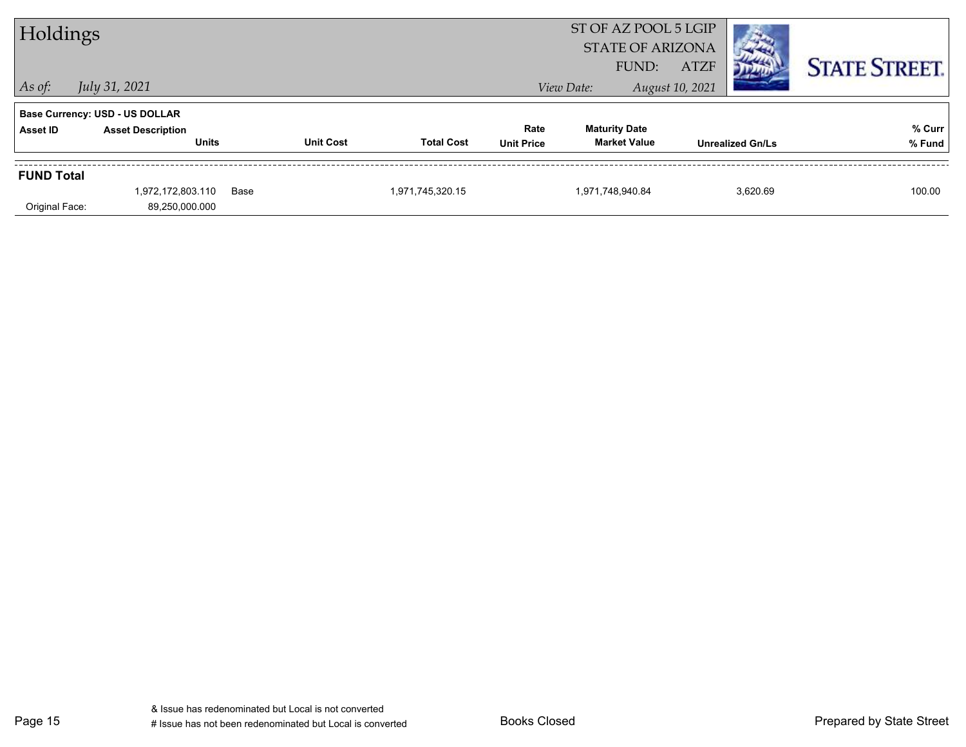| Holdings          |                                       |      |                  |                   |                   | ST OF AZ POOL 5 LGIP<br><b>STATE OF ARIZONA</b> |                                |                         |                      |
|-------------------|---------------------------------------|------|------------------|-------------------|-------------------|-------------------------------------------------|--------------------------------|-------------------------|----------------------|
| $ $ As of:        | July 31, 2021                         |      |                  |                   |                   | FUND:<br>View Date:                             | <b>ATZF</b><br>August 10, 2021 |                         | <b>STATE STREET.</b> |
|                   | <b>Base Currency: USD - US DOLLAR</b> |      |                  |                   |                   |                                                 |                                |                         |                      |
| Asset ID          | <b>Asset Description</b>              |      |                  |                   | Rate              | <b>Maturity Date</b>                            |                                |                         | % Curr               |
|                   | <b>Units</b>                          |      | <b>Unit Cost</b> | <b>Total Cost</b> | <b>Unit Price</b> | <b>Market Value</b>                             |                                | <b>Unrealized Gn/Ls</b> | % Fund               |
| <b>FUND Total</b> |                                       |      |                  |                   |                   |                                                 |                                |                         |                      |
|                   | 1,972,172,803.110                     | Base |                  | 1,971,745,320.15  |                   | 1,971,748,940.84                                |                                | 3,620.69                | 100.00               |
| Original Face:    | 89,250,000.000                        |      |                  |                   |                   |                                                 |                                |                         |                      |

Page 15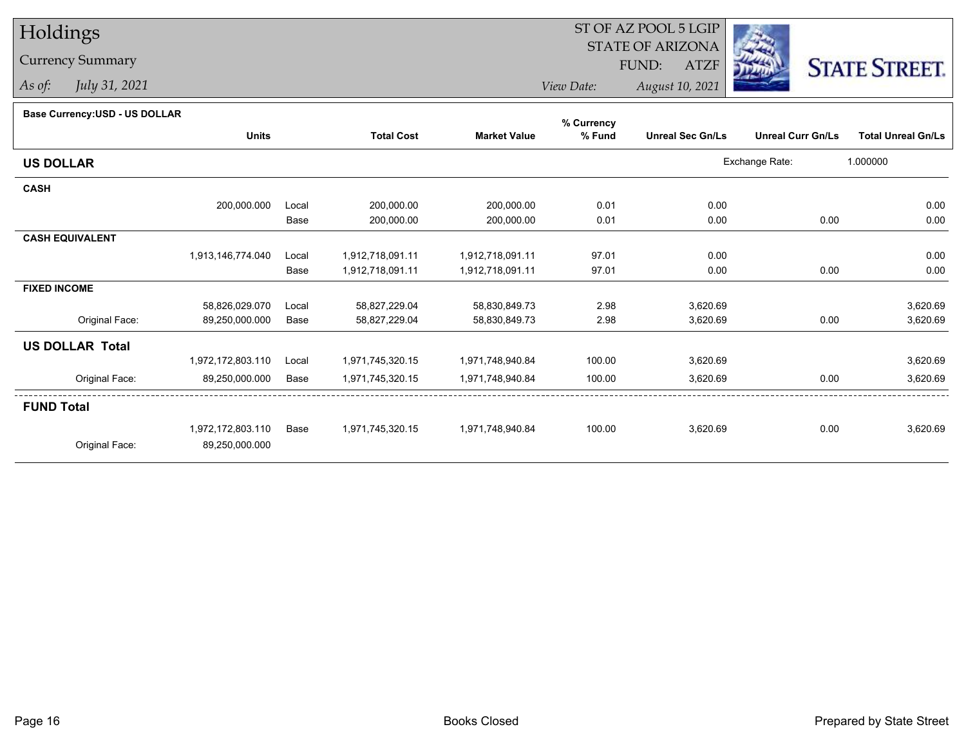## Holdings

## Currency Summary

*As of: July 31, 2021*

## ST OF AZ POOL 5 LGIP STATE OF ARIZONAATZF FUND:



*View Date:August 10, 2021*

| Base Currency: USD - US DOLLAR |  |
|--------------------------------|--|
|--------------------------------|--|

| <b>Dase Ourlelley.00D - 00 DOLLAR</b> |                   |       |                   |                     | % Currency |                         |                          |                           |
|---------------------------------------|-------------------|-------|-------------------|---------------------|------------|-------------------------|--------------------------|---------------------------|
|                                       | <b>Units</b>      |       | <b>Total Cost</b> | <b>Market Value</b> | % Fund     | <b>Unreal Sec Gn/Ls</b> | <b>Unreal Curr Gn/Ls</b> | <b>Total Unreal Gn/Ls</b> |
| <b>US DOLLAR</b>                      |                   |       |                   |                     |            |                         | Exchange Rate:           | 1.000000                  |
| <b>CASH</b>                           |                   |       |                   |                     |            |                         |                          |                           |
|                                       | 200,000.000       | Local | 200,000.00        | 200,000.00          | 0.01       | 0.00                    |                          | 0.00                      |
|                                       |                   | Base  | 200,000.00        | 200,000.00          | 0.01       | 0.00                    | 0.00                     | 0.00                      |
| <b>CASH EQUIVALENT</b>                |                   |       |                   |                     |            |                         |                          |                           |
|                                       | 1,913,146,774.040 | Local | 1,912,718,091.11  | 1,912,718,091.11    | 97.01      | 0.00                    |                          | 0.00                      |
|                                       |                   | Base  | 1,912,718,091.11  | 1,912,718,091.11    | 97.01      | 0.00                    | 0.00                     | 0.00                      |
| <b>FIXED INCOME</b>                   |                   |       |                   |                     |            |                         |                          |                           |
|                                       | 58,826,029.070    | Local | 58,827,229.04     | 58,830,849.73       | 2.98       | 3,620.69                |                          | 3,620.69                  |
| Original Face:                        | 89,250,000.000    | Base  | 58,827,229.04     | 58,830,849.73       | 2.98       | 3,620.69                | 0.00                     | 3,620.69                  |
| <b>US DOLLAR Total</b>                |                   |       |                   |                     |            |                         |                          |                           |
|                                       | 1,972,172,803.110 | Local | 1,971,745,320.15  | 1,971,748,940.84    | 100.00     | 3,620.69                |                          | 3,620.69                  |
| Original Face:                        | 89,250,000.000    | Base  | 1,971,745,320.15  | 1,971,748,940.84    | 100.00     | 3,620.69                | 0.00                     | 3,620.69                  |
| <b>FUND Total</b>                     |                   |       |                   |                     |            |                         |                          |                           |
|                                       | 1,972,172,803.110 | Base  | 1,971,745,320.15  | 1,971,748,940.84    | 100.00     | 3,620.69                | 0.00                     | 3,620.69                  |
| Original Face:                        | 89,250,000.000    |       |                   |                     |            |                         |                          |                           |
|                                       |                   |       |                   |                     |            |                         |                          |                           |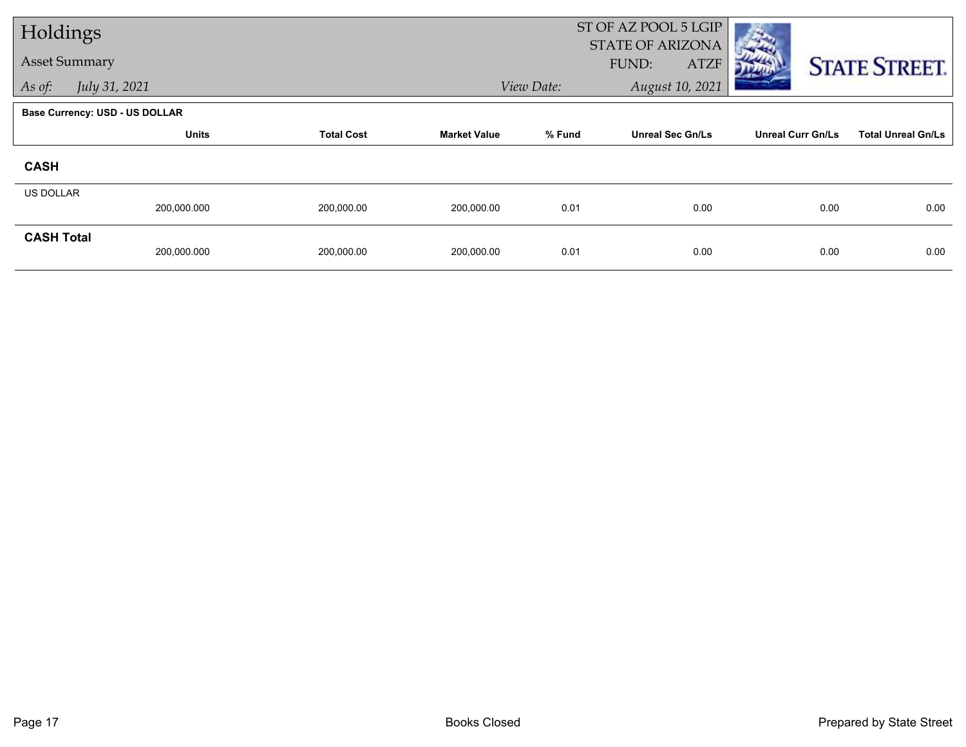| Holdings             |                                       |                   |                     | ST OF AZ POOL 5 LGIP<br><b>STATE OF ARIZONA</b> |                         |                          |                           |  |
|----------------------|---------------------------------------|-------------------|---------------------|-------------------------------------------------|-------------------------|--------------------------|---------------------------|--|
| <b>Asset Summary</b> |                                       |                   |                     |                                                 | FUND:<br><b>ATZF</b>    |                          | <b>STATE STREET.</b>      |  |
| As of:               | July 31, 2021                         |                   |                     | View Date:                                      | August 10, 2021         |                          |                           |  |
|                      | <b>Base Currency: USD - US DOLLAR</b> |                   |                     |                                                 |                         |                          |                           |  |
|                      | <b>Units</b>                          | <b>Total Cost</b> | <b>Market Value</b> | % Fund                                          | <b>Unreal Sec Gn/Ls</b> | <b>Unreal Curr Gn/Ls</b> | <b>Total Unreal Gn/Ls</b> |  |
| <b>CASH</b>          |                                       |                   |                     |                                                 |                         |                          |                           |  |
| <b>US DOLLAR</b>     | 200,000.000                           | 200,000.00        | 200,000.00          | 0.01                                            | 0.00                    | 0.00                     | 0.00                      |  |
| <b>CASH Total</b>    | 200,000.000                           | 200,000.00        | 200,000.00          | 0.01                                            | 0.00                    | 0.00                     | 0.00                      |  |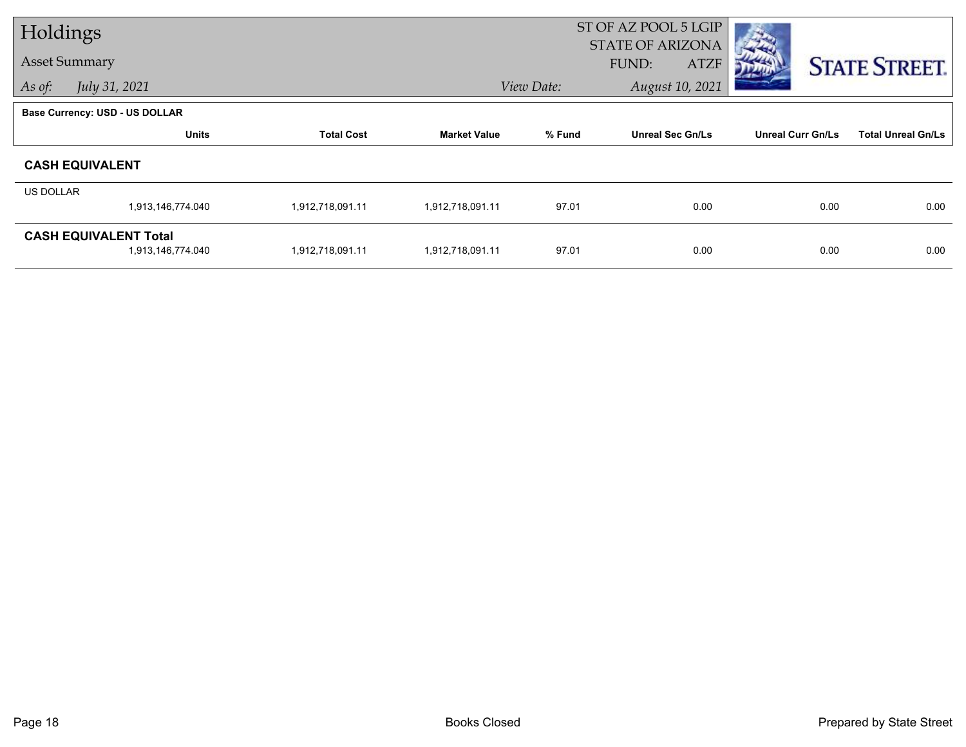| Holdings  |                                       |                   |                     | ST OF AZ POOL 5 LGIP<br><b>STATE OF ARIZONA</b> |                         |                          |                           |  |
|-----------|---------------------------------------|-------------------|---------------------|-------------------------------------------------|-------------------------|--------------------------|---------------------------|--|
|           | <b>Asset Summary</b>                  |                   |                     |                                                 | <b>ATZF</b><br>FUND:    |                          | <b>STATE STREET.</b>      |  |
| As of:    | July 31, 2021                         |                   |                     | View Date:                                      | August 10, 2021         |                          |                           |  |
|           | <b>Base Currency: USD - US DOLLAR</b> |                   |                     |                                                 |                         |                          |                           |  |
|           | <b>Units</b>                          | <b>Total Cost</b> | <b>Market Value</b> | % Fund                                          | <b>Unreal Sec Gn/Ls</b> | <b>Unreal Curr Gn/Ls</b> | <b>Total Unreal Gn/Ls</b> |  |
|           | <b>CASH EQUIVALENT</b>                |                   |                     |                                                 |                         |                          |                           |  |
| US DOLLAR |                                       |                   |                     |                                                 |                         |                          |                           |  |
|           | 1,913,146,774.040                     | 1,912,718,091.11  | 1,912,718,091.11    | 97.01                                           | 0.00                    | 0.00                     | 0.00                      |  |
|           | <b>CASH EQUIVALENT Total</b>          |                   |                     |                                                 |                         |                          |                           |  |
|           | 1,913,146,774.040                     | 1,912,718,091.11  | 1,912,718,091.11    | 97.01                                           | 0.00                    | 0.00                     | 0.00                      |  |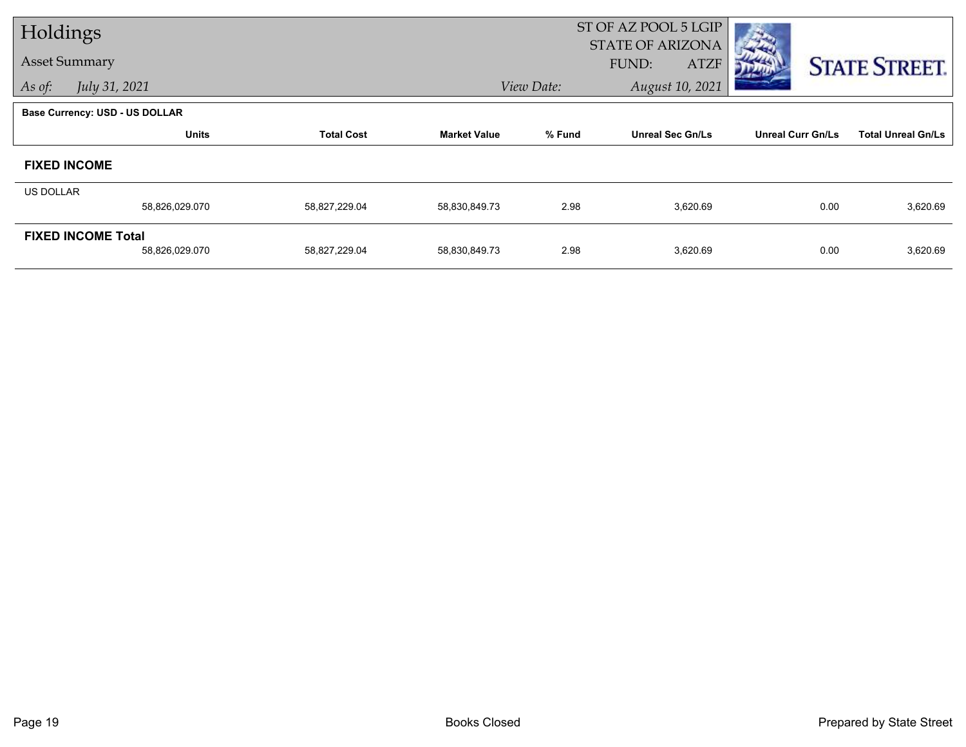| Holdings                  |                                       |                   |                     | ST OF AZ POOL 5 LGIP |                                                 |                          |                           |
|---------------------------|---------------------------------------|-------------------|---------------------|----------------------|-------------------------------------------------|--------------------------|---------------------------|
| <b>Asset Summary</b>      |                                       |                   |                     |                      | <b>STATE OF ARIZONA</b><br>FUND:<br><b>ATZF</b> |                          | <b>STATE STREET.</b>      |
| As of:                    | July 31, 2021                         |                   |                     | View Date:           | August 10, 2021                                 |                          |                           |
|                           | <b>Base Currency: USD - US DOLLAR</b> |                   |                     |                      |                                                 |                          |                           |
|                           | <b>Units</b>                          | <b>Total Cost</b> | <b>Market Value</b> | % Fund               | <b>Unreal Sec Gn/Ls</b>                         | <b>Unreal Curr Gn/Ls</b> | <b>Total Unreal Gn/Ls</b> |
| <b>FIXED INCOME</b>       |                                       |                   |                     |                      |                                                 |                          |                           |
| <b>US DOLLAR</b>          |                                       |                   |                     |                      |                                                 |                          |                           |
|                           | 58,826,029.070                        | 58,827,229.04     | 58,830,849.73       | 2.98                 | 3,620.69                                        | 0.00                     | 3,620.69                  |
| <b>FIXED INCOME Total</b> |                                       |                   |                     |                      |                                                 |                          | 3,620.69                  |
|                           | 58,826,029.070                        | 58,827,229.04     | 58,830,849.73       | 2.98                 | 3,620.69                                        | 0.00                     |                           |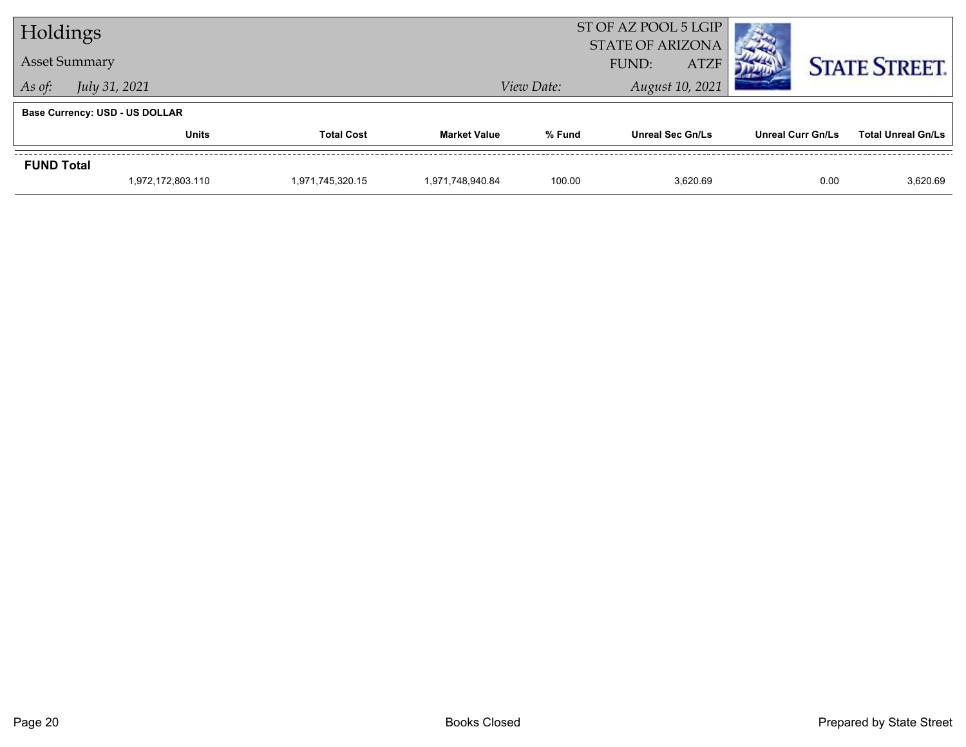| Holdings          |                                       |                   |                     |            | ST OF AZ POOL 5 LGIP<br><b>STATE OF ARIZONA</b> |                          |                           |  |
|-------------------|---------------------------------------|-------------------|---------------------|------------|-------------------------------------------------|--------------------------|---------------------------|--|
|                   | <b>Asset Summary</b>                  |                   |                     |            | <b>ATZF</b><br>FUND:                            | <b>STATE STREET.</b>     |                           |  |
| As of:            | July 31, 2021                         |                   |                     | View Date: | August 10, 2021                                 |                          |                           |  |
|                   | <b>Base Currency: USD - US DOLLAR</b> |                   |                     |            |                                                 |                          |                           |  |
|                   | <b>Units</b>                          | <b>Total Cost</b> | <b>Market Value</b> | % Fund     | Unreal Sec Gn/Ls                                | <b>Unreal Curr Gn/Ls</b> | <b>Total Unreal Gn/Ls</b> |  |
| <b>FUND Total</b> |                                       |                   |                     |            |                                                 |                          |                           |  |
|                   | 1,972,172,803.110                     | 1,971,745,320.15  | 1.971.748.940.84    | 100.00     | 3.620.69                                        | 0.00                     | 3,620.69                  |  |